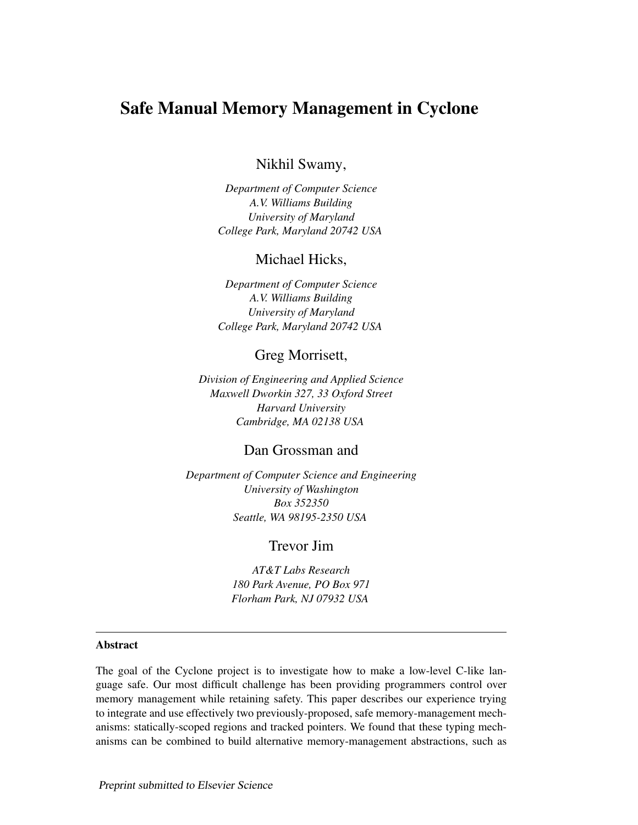# Safe Manual Memory Management in Cyclone

Nikhil Swamy,

*Department of Computer Science A.V. Williams Building University of Maryland College Park, Maryland 20742 USA*

# Michael Hicks,

*Department of Computer Science A.V. Williams Building University of Maryland College Park, Maryland 20742 USA*

### Greg Morrisett,

*Division of Engineering and Applied Science Maxwell Dworkin 327, 33 Oxford Street Harvard University Cambridge, MA 02138 USA*

### Dan Grossman and

*Department of Computer Science and Engineering University of Washington Box 352350 Seattle, WA 98195-2350 USA*

# Trevor Jim

*AT&T Labs Research 180 Park Avenue, PO Box 971 Florham Park, NJ 07932 USA*

#### Abstract

The goal of the Cyclone project is to investigate how to make a low-level C-like language safe. Our most difficult challenge has been providing programmers control over memory management while retaining safety. This paper describes our experience trying to integrate and use effectively two previously-proposed, safe memory-management mechanisms: statically-scoped regions and tracked pointers. We found that these typing mechanisms can be combined to build alternative memory-management abstractions, such as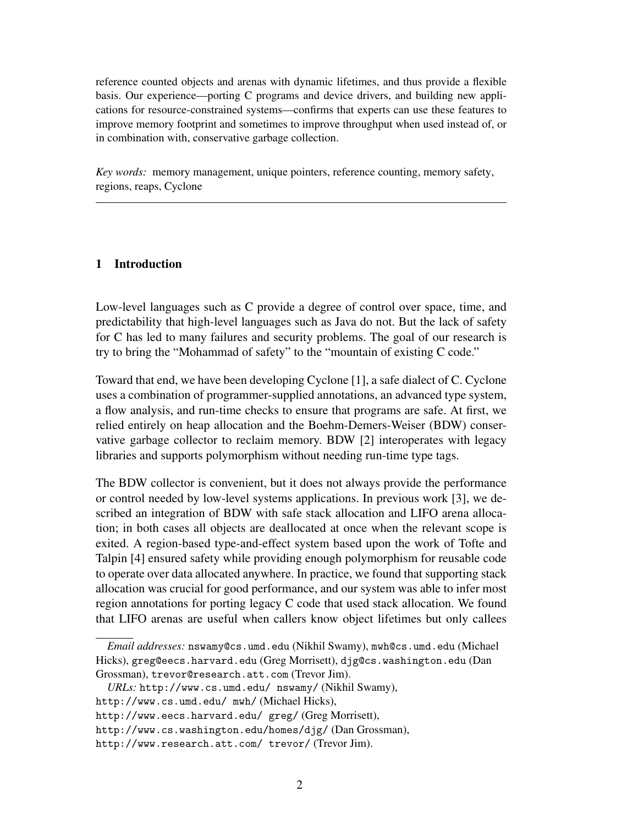reference counted objects and arenas with dynamic lifetimes, and thus provide a flexible basis. Our experience—porting C programs and device drivers, and building new applications for resource-constrained systems—confirms that experts can use these features to improve memory footprint and sometimes to improve throughput when used instead of, or in combination with, conservative garbage collection.

*Key words:* memory management, unique pointers, reference counting, memory safety, regions, reaps, Cyclone

#### 1 Introduction

Low-level languages such as C provide a degree of control over space, time, and predictability that high-level languages such as Java do not. But the lack of safety for C has led to many failures and security problems. The goal of our research is try to bring the "Mohammad of safety" to the "mountain of existing C code."

Toward that end, we have been developing Cyclone [1], a safe dialect of C. Cyclone uses a combination of programmer-supplied annotations, an advanced type system, a flow analysis, and run-time checks to ensure that programs are safe. At first, we relied entirely on heap allocation and the Boehm-Demers-Weiser (BDW) conservative garbage collector to reclaim memory. BDW [2] interoperates with legacy libraries and supports polymorphism without needing run-time type tags.

The BDW collector is convenient, but it does not always provide the performance or control needed by low-level systems applications. In previous work [3], we described an integration of BDW with safe stack allocation and LIFO arena allocation; in both cases all objects are deallocated at once when the relevant scope is exited. A region-based type-and-effect system based upon the work of Tofte and Talpin [4] ensured safety while providing enough polymorphism for reusable code to operate over data allocated anywhere. In practice, we found that supporting stack allocation was crucial for good performance, and our system was able to infer most region annotations for porting legacy C code that used stack allocation. We found that LIFO arenas are useful when callers know object lifetimes but only callees

*Email addresses:* nswamy@cs.umd.edu (Nikhil Swamy), mwh@cs.umd.edu (Michael Hicks), greg@eecs.harvard.edu (Greg Morrisett), djg@cs.washington.edu (Dan Grossman), trevor@research.att.com (Trevor Jim).

*URLs:* http://www.cs.umd.edu/ nswamy/ (Nikhil Swamy),

http://www.cs.umd.edu/ mwh/ (Michael Hicks),

http://www.eecs.harvard.edu/ greg/ (Greg Morrisett),

http://www.cs.washington.edu/homes/djg/ (Dan Grossman),

http://www.research.att.com/ trevor/ (Trevor Jim).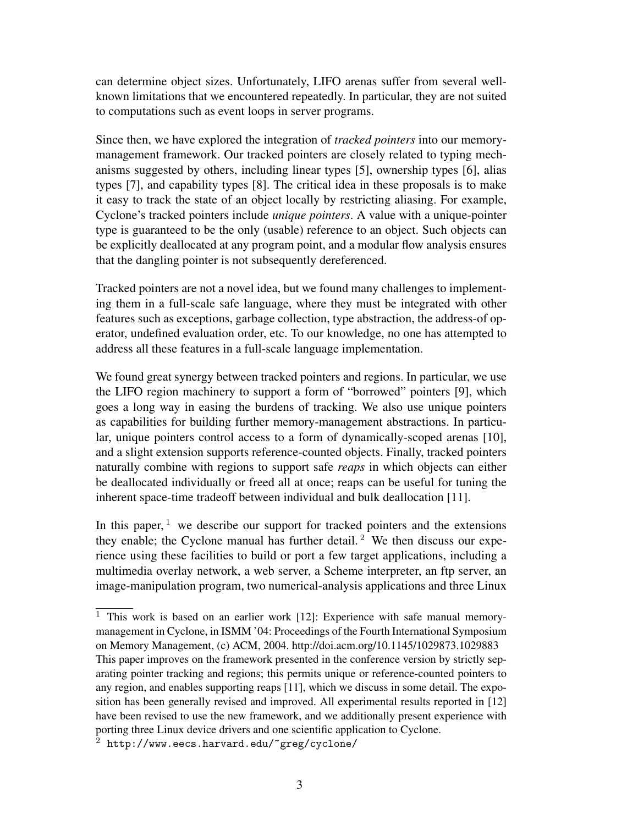can determine object sizes. Unfortunately, LIFO arenas suffer from several wellknown limitations that we encountered repeatedly. In particular, they are not suited to computations such as event loops in server programs.

Since then, we have explored the integration of *tracked pointers* into our memorymanagement framework. Our tracked pointers are closely related to typing mechanisms suggested by others, including linear types [5], ownership types [6], alias types [7], and capability types [8]. The critical idea in these proposals is to make it easy to track the state of an object locally by restricting aliasing. For example, Cyclone's tracked pointers include *unique pointers*. A value with a unique-pointer type is guaranteed to be the only (usable) reference to an object. Such objects can be explicitly deallocated at any program point, and a modular flow analysis ensures that the dangling pointer is not subsequently dereferenced.

Tracked pointers are not a novel idea, but we found many challenges to implementing them in a full-scale safe language, where they must be integrated with other features such as exceptions, garbage collection, type abstraction, the address-of operator, undefined evaluation order, etc. To our knowledge, no one has attempted to address all these features in a full-scale language implementation.

We found great synergy between tracked pointers and regions. In particular, we use the LIFO region machinery to support a form of "borrowed" pointers [9], which goes a long way in easing the burdens of tracking. We also use unique pointers as capabilities for building further memory-management abstractions. In particular, unique pointers control access to a form of dynamically-scoped arenas [10], and a slight extension supports reference-counted objects. Finally, tracked pointers naturally combine with regions to support safe *reaps* in which objects can either be deallocated individually or freed all at once; reaps can be useful for tuning the inherent space-time tradeoff between individual and bulk deallocation [11].

In this paper,  $1$  we describe our support for tracked pointers and the extensions they enable; the Cyclone manual has further detail.<sup>2</sup> We then discuss our experience using these facilities to build or port a few target applications, including a multimedia overlay network, a web server, a Scheme interpreter, an ftp server, an image-manipulation program, two numerical-analysis applications and three Linux

 $\overline{1}$  This work is based on an earlier work [12]: Experience with safe manual memorymanagement in Cyclone, in ISMM '04: Proceedings of the Fourth International Symposium on Memory Management, (c) ACM, 2004. http://doi.acm.org/10.1145/1029873.1029883 This paper improves on the framework presented in the conference version by strictly separating pointer tracking and regions; this permits unique or reference-counted pointers to any region, and enables supporting reaps [11], which we discuss in some detail. The exposition has been generally revised and improved. All experimental results reported in [12] have been revised to use the new framework, and we additionally present experience with porting three Linux device drivers and one scientific application to Cyclone.

http://www.eecs.harvard.edu/~greg/cyclone/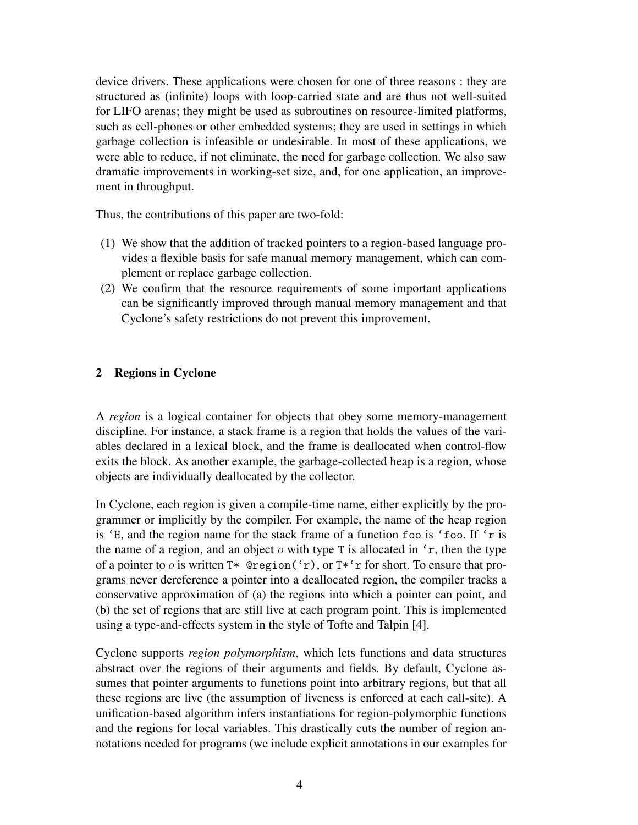device drivers. These applications were chosen for one of three reasons : they are structured as (infinite) loops with loop-carried state and are thus not well-suited for LIFO arenas; they might be used as subroutines on resource-limited platforms, such as cell-phones or other embedded systems; they are used in settings in which garbage collection is infeasible or undesirable. In most of these applications, we were able to reduce, if not eliminate, the need for garbage collection. We also saw dramatic improvements in working-set size, and, for one application, an improvement in throughput.

Thus, the contributions of this paper are two-fold:

- (1) We show that the addition of tracked pointers to a region-based language provides a flexible basis for safe manual memory management, which can complement or replace garbage collection.
- (2) We confirm that the resource requirements of some important applications can be significantly improved through manual memory management and that Cyclone's safety restrictions do not prevent this improvement.

# 2 Regions in Cyclone

A *region* is a logical container for objects that obey some memory-management discipline. For instance, a stack frame is a region that holds the values of the variables declared in a lexical block, and the frame is deallocated when control-flow exits the block. As another example, the garbage-collected heap is a region, whose objects are individually deallocated by the collector.

In Cyclone, each region is given a compile-time name, either explicitly by the programmer or implicitly by the compiler. For example, the name of the heap region is 'H, and the region name for the stack frame of a function foo is 'foo. If 'r is the name of a region, and an object  $o$  with type T is allocated in  $'r$ , then the type of a pointer to *o* is written  $T^*$  @region('r), or  $T^*$ 'r for short. To ensure that programs never dereference a pointer into a deallocated region, the compiler tracks a conservative approximation of (a) the regions into which a pointer can point, and (b) the set of regions that are still live at each program point. This is implemented using a type-and-effects system in the style of Tofte and Talpin [4].

Cyclone supports *region polymorphism*, which lets functions and data structures abstract over the regions of their arguments and fields. By default, Cyclone assumes that pointer arguments to functions point into arbitrary regions, but that all these regions are live (the assumption of liveness is enforced at each call-site). A unification-based algorithm infers instantiations for region-polymorphic functions and the regions for local variables. This drastically cuts the number of region annotations needed for programs (we include explicit annotations in our examples for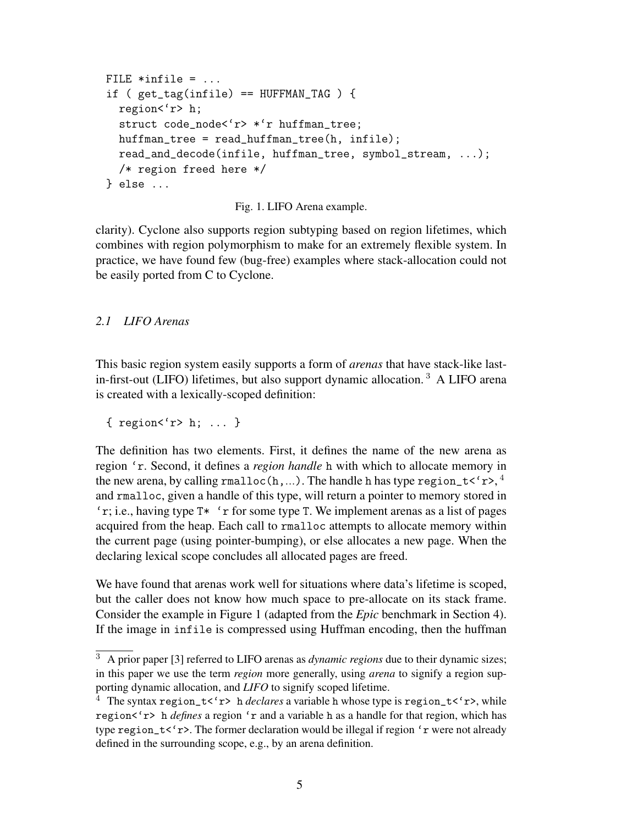```
FILE *infile = \ldotsif ( get\_tag(intile) == HUFFMAN_TAG ) {
  region<'r> h;
  struct code_node<'r> *'r huffman_tree;
  huffman_tree = read_huffman_tree(h, infile);read_and_decode(infile, huffman_tree, symbol_stream, ...);
  /* region freed here */
} else ...
```
Fig. 1. LIFO Arena example.

clarity). Cyclone also supports region subtyping based on region lifetimes, which combines with region polymorphism to make for an extremely flexible system. In practice, we have found few (bug-free) examples where stack-allocation could not be easily ported from C to Cyclone.

#### *2.1 LIFO Arenas*

This basic region system easily supports a form of *arenas* that have stack-like lastin-first-out (LIFO) lifetimes, but also support dynamic allocation. <sup>3</sup> A LIFO arena is created with a lexically-scoped definition:

{ region<'r> h; ... }

The definition has two elements. First, it defines the name of the new arena as region 'r. Second, it defines a *region handle* h with which to allocate memory in the new arena, by calling rmalloc(h,...). The handle h has type region\_t<'r>, $^4$ and rmalloc, given a handle of this type, will return a pointer to memory stored in 'r; i.e., having type T\* 'r for some type T. We implement arenas as a list of pages acquired from the heap. Each call to rmalloc attempts to allocate memory within the current page (using pointer-bumping), or else allocates a new page. When the declaring lexical scope concludes all allocated pages are freed.

We have found that arenas work well for situations where data's lifetime is scoped, but the caller does not know how much space to pre-allocate on its stack frame. Consider the example in Figure 1 (adapted from the *Epic* benchmark in Section 4). If the image in infile is compressed using Huffman encoding, then the huffman

<sup>3</sup> A prior paper [3] referred to LIFO arenas as *dynamic regions* due to their dynamic sizes; in this paper we use the term *region* more generally, using *arena* to signify a region supporting dynamic allocation, and *LIFO* to signify scoped lifetime.

<sup>&</sup>lt;sup>4</sup> The syntax region\_t<'r> h *declares* a variable h whose type is region\_t<'r><', while region<'r> h *defines* a region 'r and a variable h as a handle for that region, which has type region\_t<'r>. The former declaration would be illegal if region 'r were not already defined in the surrounding scope, e.g., by an arena definition.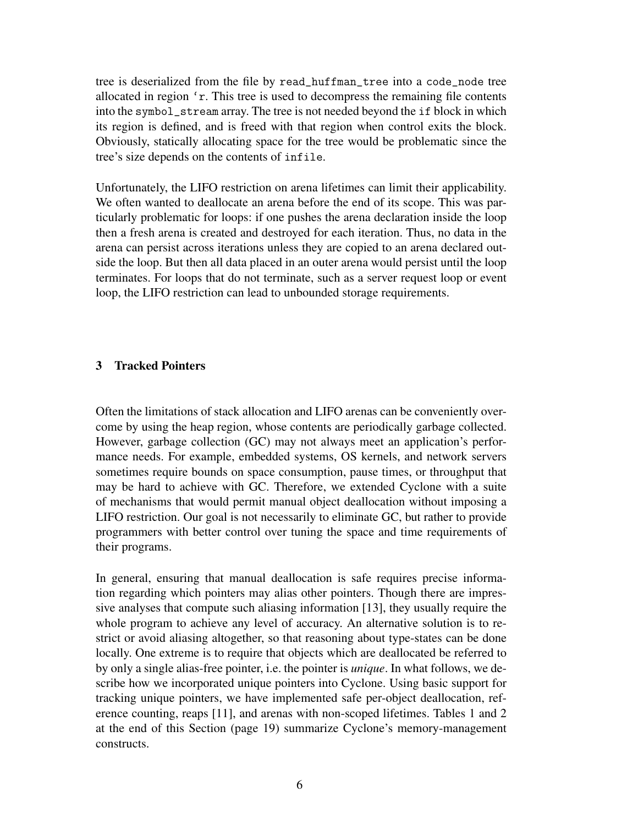tree is deserialized from the file by read\_huffman\_tree into a code\_node tree allocated in region 'r. This tree is used to decompress the remaining file contents into the symbol\_stream array. The tree is not needed beyond the if block in which its region is defined, and is freed with that region when control exits the block. Obviously, statically allocating space for the tree would be problematic since the tree's size depends on the contents of infile.

Unfortunately, the LIFO restriction on arena lifetimes can limit their applicability. We often wanted to deallocate an arena before the end of its scope. This was particularly problematic for loops: if one pushes the arena declaration inside the loop then a fresh arena is created and destroyed for each iteration. Thus, no data in the arena can persist across iterations unless they are copied to an arena declared outside the loop. But then all data placed in an outer arena would persist until the loop terminates. For loops that do not terminate, such as a server request loop or event loop, the LIFO restriction can lead to unbounded storage requirements.

#### 3 Tracked Pointers

Often the limitations of stack allocation and LIFO arenas can be conveniently overcome by using the heap region, whose contents are periodically garbage collected. However, garbage collection (GC) may not always meet an application's performance needs. For example, embedded systems, OS kernels, and network servers sometimes require bounds on space consumption, pause times, or throughput that may be hard to achieve with GC. Therefore, we extended Cyclone with a suite of mechanisms that would permit manual object deallocation without imposing a LIFO restriction. Our goal is not necessarily to eliminate GC, but rather to provide programmers with better control over tuning the space and time requirements of their programs.

In general, ensuring that manual deallocation is safe requires precise information regarding which pointers may alias other pointers. Though there are impressive analyses that compute such aliasing information [13], they usually require the whole program to achieve any level of accuracy. An alternative solution is to restrict or avoid aliasing altogether, so that reasoning about type-states can be done locally. One extreme is to require that objects which are deallocated be referred to by only a single alias-free pointer, i.e. the pointer is *unique*. In what follows, we describe how we incorporated unique pointers into Cyclone. Using basic support for tracking unique pointers, we have implemented safe per-object deallocation, reference counting, reaps [11], and arenas with non-scoped lifetimes. Tables 1 and 2 at the end of this Section (page 19) summarize Cyclone's memory-management constructs.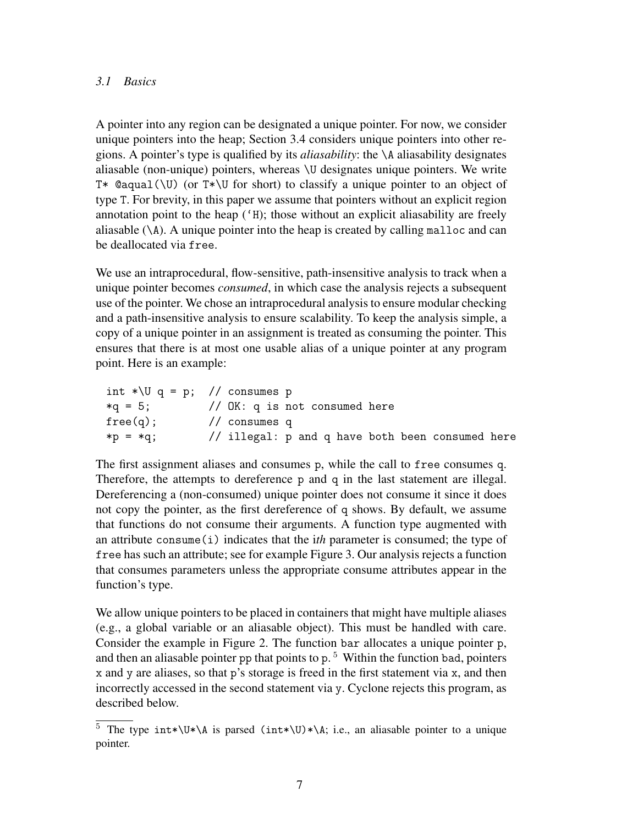#### *3.1 Basics*

A pointer into any region can be designated a unique pointer. For now, we consider unique pointers into the heap; Section 3.4 considers unique pointers into other regions. A pointer's type is qualified by its *aliasability*: the \A aliasability designates aliasable (non-unique) pointers, whereas \U designates unique pointers. We write T\* @aqual( $\Upsilon$ ) (or T\* $\Upsilon$  for short) to classify a unique pointer to an object of type T. For brevity, in this paper we assume that pointers without an explicit region annotation point to the heap ('H); those without an explicit aliasability are freely aliasable  $(\A)$ . A unique pointer into the heap is created by calling malloc and can be deallocated via free.

We use an intraprocedural, flow-sensitive, path-insensitive analysis to track when a unique pointer becomes *consumed*, in which case the analysis rejects a subsequent use of the pointer. We chose an intraprocedural analysis to ensure modular checking and a path-insensitive analysis to ensure scalability. To keep the analysis simple, a copy of a unique pointer in an assignment is treated as consuming the pointer. This ensures that there is at most one usable alias of a unique pointer at any program point. Here is an example:

| int *\U q = p; // consumes p |                                                  |
|------------------------------|--------------------------------------------------|
| $*q = 5$ ;                   | // $OK: q$ is not consumed here                  |
| free(q);                     | // consumes $q$                                  |
| $*p = *q$ ;                  | // illegal: p and q have both been consumed here |

The first assignment aliases and consumes p, while the call to free consumes q. Therefore, the attempts to dereference p and q in the last statement are illegal. Dereferencing a (non-consumed) unique pointer does not consume it since it does not copy the pointer, as the first dereference of q shows. By default, we assume that functions do not consume their arguments. A function type augmented with an attribute consume(i) indicates that the i*th* parameter is consumed; the type of free has such an attribute; see for example Figure 3. Our analysis rejects a function that consumes parameters unless the appropriate consume attributes appear in the function's type.

We allow unique pointers to be placed in containers that might have multiple aliases (e.g., a global variable or an aliasable object). This must be handled with care. Consider the example in Figure 2. The function bar allocates a unique pointer p, and then an aliasable pointer pp that points to  $p.^5$  Within the function bad, pointers x and y are aliases, so that p's storage is freed in the first statement via x, and then incorrectly accessed in the second statement via y. Cyclone rejects this program, as described below.

 $\overline{5}$  The type int\*\U\*\A is parsed (int\*\U)\*\A; i.e., an aliasable pointer to a unique pointer.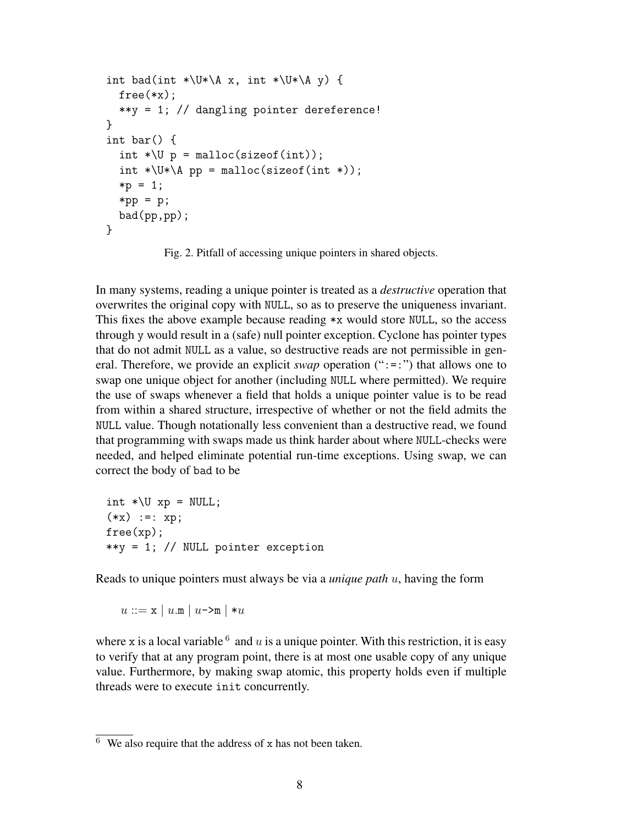```
int bad(int *\U*\A x, int *\U*\A y) {
  free(\ast x);
  **y = 1; // dangling pointer dereference!
}
int bar() {
  int *\U p = malloc(sizeof(int));
  int *\Upsilon*\A pp = malloc(sizeof(int *));
  *p = 1;*pp = p;
 bad(pp,pp);
}
```
Fig. 2. Pitfall of accessing unique pointers in shared objects.

In many systems, reading a unique pointer is treated as a *destructive* operation that overwrites the original copy with NULL, so as to preserve the uniqueness invariant. This fixes the above example because reading \*x would store NULL, so the access through y would result in a (safe) null pointer exception. Cyclone has pointer types that do not admit NULL as a value, so destructive reads are not permissible in general. Therefore, we provide an explicit *swap* operation (":=:") that allows one to swap one unique object for another (including NULL where permitted). We require the use of swaps whenever a field that holds a unique pointer value is to be read from within a shared structure, irrespective of whether or not the field admits the NULL value. Though notationally less convenient than a destructive read, we found that programming with swaps made us think harder about where NULL-checks were needed, and helped eliminate potential run-time exceptions. Using swap, we can correct the body of bad to be

```
int *\Upsilon xp = NULL;
(**x) :=: xp;free(xp);
**y = 1; // NULL pointer exception
```
Reads to unique pointers must always be via a *unique path* u, having the form

$$
u ::= \mathbf{x} \mid u.\mathbf{m} \mid u \rightarrow \mathbf{m} \mid *u
$$

where x is a local variable  $6$  and u is a unique pointer. With this restriction, it is easy to verify that at any program point, there is at most one usable copy of any unique value. Furthermore, by making swap atomic, this property holds even if multiple threads were to execute init concurrently.

 $\overline{6}$  We also require that the address of x has not been taken.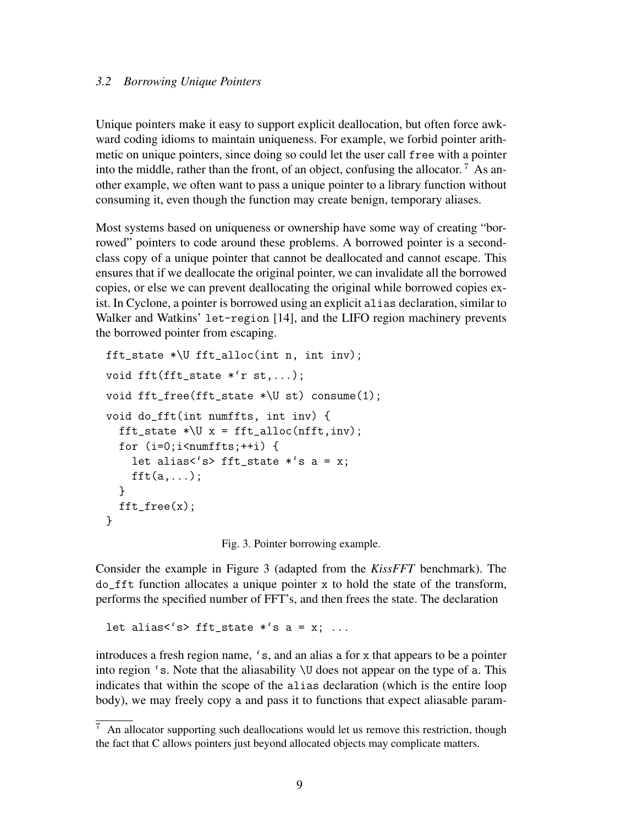#### *3.2 Borrowing Unique Pointers*

Unique pointers make it easy to support explicit deallocation, but often force awkward coding idioms to maintain uniqueness. For example, we forbid pointer arithmetic on unique pointers, since doing so could let the user call free with a pointer into the middle, rather than the front, of an object, confusing the allocator.<sup>7</sup> As another example, we often want to pass a unique pointer to a library function without consuming it, even though the function may create benign, temporary aliases.

Most systems based on uniqueness or ownership have some way of creating "borrowed" pointers to code around these problems. A borrowed pointer is a secondclass copy of a unique pointer that cannot be deallocated and cannot escape. This ensures that if we deallocate the original pointer, we can invalidate all the borrowed copies, or else we can prevent deallocating the original while borrowed copies exist. In Cyclone, a pointer is borrowed using an explicit alias declaration, similar to Walker and Watkins' let-region [14], and the LIFO region machinery prevents the borrowed pointer from escaping.

```
fft_state *\U fft_alloc(int n, int inv);
void fft(fft state *^r st,...);
void fft_free(fft_state *\U st) consume(1);
void do_fft(int numffts, int inv) {
  fft\_state * \U x = fft\_alloc(nfft, inv);for (i=0; i \leq n \text{umffts};++i) {
    let alias<'s> fft_state *'s a = x;
    fft(a,...);}
 fft_free(x);
}
```
Fig. 3. Pointer borrowing example.

Consider the example in Figure 3 (adapted from the *KissFFT* benchmark). The do\_fft function allocates a unique pointer x to hold the state of the transform, performs the specified number of FFT's, and then frees the state. The declaration

let alias<'s> fft\_state  $*$ 's a = x; ...

introduces a fresh region name, 's, and an alias a for x that appears to be a pointer into region 's. Note that the aliasability \U does not appear on the type of a. This indicates that within the scope of the alias declaration (which is the entire loop body), we may freely copy a and pass it to functions that expect aliasable param-

 $\frac{7}{7}$  An allocator supporting such deallocations would let us remove this restriction, though the fact that C allows pointers just beyond allocated objects may complicate matters.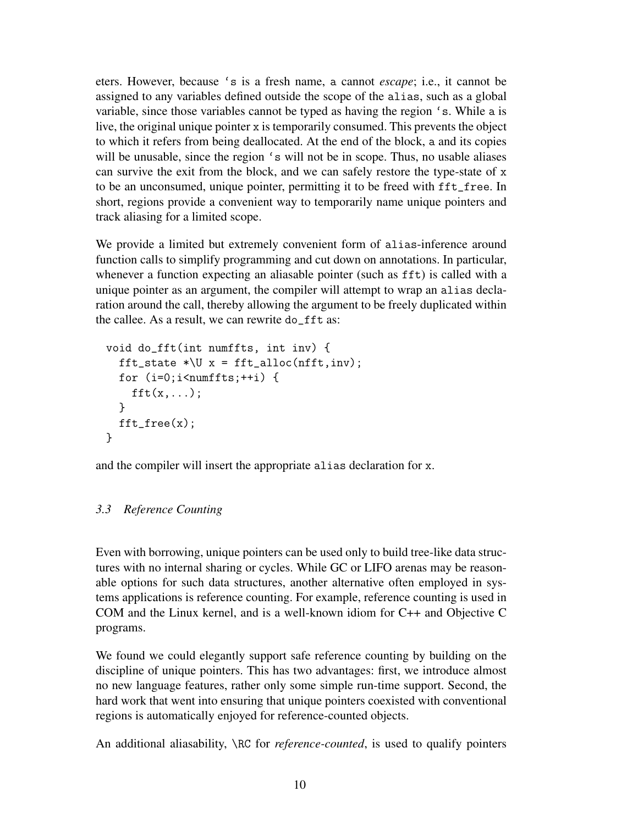eters. However, because 's is a fresh name, a cannot *escape*; i.e., it cannot be assigned to any variables defined outside the scope of the alias, such as a global variable, since those variables cannot be typed as having the region 's. While a is live, the original unique pointer x is temporarily consumed. This prevents the object to which it refers from being deallocated. At the end of the block, a and its copies will be unusable, since the region 's will not be in scope. Thus, no usable aliases can survive the exit from the block, and we can safely restore the type-state of x to be an unconsumed, unique pointer, permitting it to be freed with fft\_free. In short, regions provide a convenient way to temporarily name unique pointers and track aliasing for a limited scope.

We provide a limited but extremely convenient form of alias-inference around function calls to simplify programming and cut down on annotations. In particular, whenever a function expecting an aliasable pointer (such as fft) is called with a unique pointer as an argument, the compiler will attempt to wrap an alias declaration around the call, thereby allowing the argument to be freely duplicated within the callee. As a result, we can rewrite do\_fft as:

```
void do_fft(int numffts, int inv) {
  fft_state *\U x = fft_alloc(nfft,inv);
  for (i=0; i \leq numffts; ++i) {
    fft(x,...);}
 fft_free(x);
}
```
and the compiler will insert the appropriate alias declaration for x.

# *3.3 Reference Counting*

Even with borrowing, unique pointers can be used only to build tree-like data structures with no internal sharing or cycles. While GC or LIFO arenas may be reasonable options for such data structures, another alternative often employed in systems applications is reference counting. For example, reference counting is used in COM and the Linux kernel, and is a well-known idiom for C++ and Objective C programs.

We found we could elegantly support safe reference counting by building on the discipline of unique pointers. This has two advantages: first, we introduce almost no new language features, rather only some simple run-time support. Second, the hard work that went into ensuring that unique pointers coexisted with conventional regions is automatically enjoyed for reference-counted objects.

An additional aliasability, \RC for *reference-counted*, is used to qualify pointers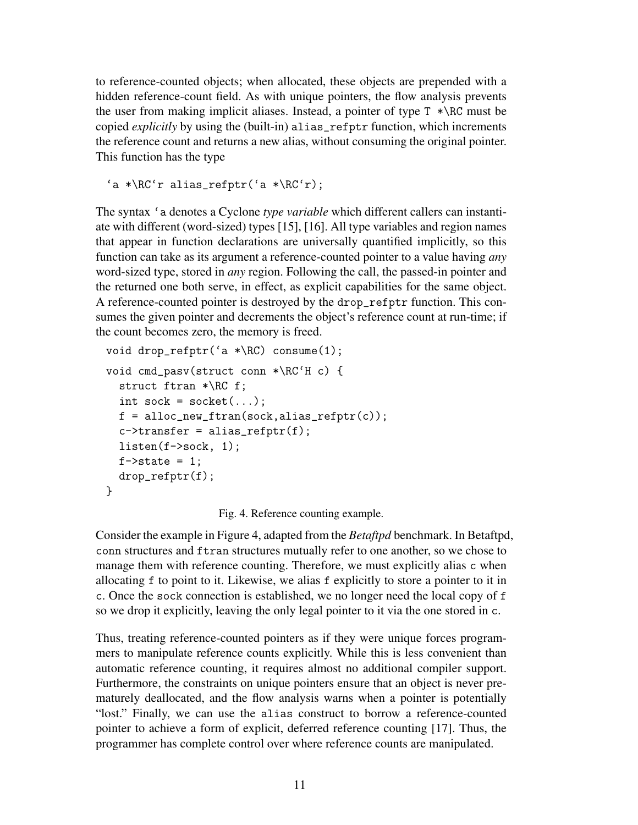to reference-counted objects; when allocated, these objects are prepended with a hidden reference-count field. As with unique pointers, the flow analysis prevents the user from making implicit aliases. Instead, a pointer of type  $T * \R$ C must be copied *explicitly* by using the (built-in) alias\_refptr function, which increments the reference count and returns a new alias, without consuming the original pointer. This function has the type

'a \*\RC'r alias\_refptr('a \*\RC'r);

The syntax 'a denotes a Cyclone *type variable* which different callers can instantiate with different (word-sized) types [15], [16]. All type variables and region names that appear in function declarations are universally quantified implicitly, so this function can take as its argument a reference-counted pointer to a value having *any* word-sized type, stored in *any* region. Following the call, the passed-in pointer and the returned one both serve, in effect, as explicit capabilities for the same object. A reference-counted pointer is destroyed by the drop\_refptr function. This consumes the given pointer and decrements the object's reference count at run-time; if the count becomes zero, the memory is freed.

```
void drop_refptr('a *\RC) consume(1);
void cmd_pasv(struct conn *\RC'H c) {
  struct ftran *\RC f;
  int sock = socket(...);f = \text{alloc\_new\_ftran}(\text{sock,alias\_refptr}(c));c->transfer = alias_refptr(f);
  listen(f->sock, 1);
  f->state = 1;
  drop_refptr(f);
}
```
Fig. 4. Reference counting example.

Consider the example in Figure 4, adapted from the *Betaftpd* benchmark. In Betaftpd, conn structures and ftran structures mutually refer to one another, so we chose to manage them with reference counting. Therefore, we must explicitly alias c when allocating f to point to it. Likewise, we alias f explicitly to store a pointer to it in c. Once the sock connection is established, we no longer need the local copy of f so we drop it explicitly, leaving the only legal pointer to it via the one stored in c.

Thus, treating reference-counted pointers as if they were unique forces programmers to manipulate reference counts explicitly. While this is less convenient than automatic reference counting, it requires almost no additional compiler support. Furthermore, the constraints on unique pointers ensure that an object is never prematurely deallocated, and the flow analysis warns when a pointer is potentially "lost." Finally, we can use the alias construct to borrow a reference-counted pointer to achieve a form of explicit, deferred reference counting [17]. Thus, the programmer has complete control over where reference counts are manipulated.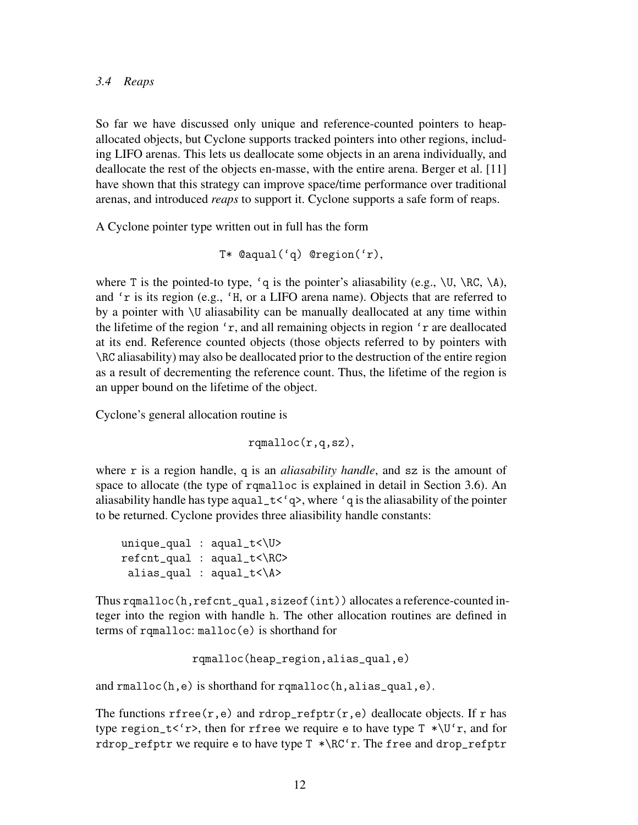#### *3.4 Reaps*

So far we have discussed only unique and reference-counted pointers to heapallocated objects, but Cyclone supports tracked pointers into other regions, including LIFO arenas. This lets us deallocate some objects in an arena individually, and deallocate the rest of the objects en-masse, with the entire arena. Berger et al. [11] have shown that this strategy can improve space/time performance over traditional arenas, and introduced *reaps* to support it. Cyclone supports a safe form of reaps.

A Cyclone pointer type written out in full has the form

```
T* @aqual('q) @region('r),
```
where T is the pointed-to type, 'q is the pointer's aliasability (e.g.,  $\setminus U$ ,  $\setminus RC$ ,  $\setminus A$ ), and 'r is its region (e.g., 'H, or a LIFO arena name). Objects that are referred to by a pointer with \U aliasability can be manually deallocated at any time within the lifetime of the region 'r, and all remaining objects in region 'r are deallocated at its end. Reference counted objects (those objects referred to by pointers with \RC aliasability) may also be deallocated prior to the destruction of the entire region as a result of decrementing the reference count. Thus, the lifetime of the region is an upper bound on the lifetime of the object.

Cyclone's general allocation routine is

rqmalloc(r,q,sz),

where r is a region handle, q is an *aliasability handle*, and sz is the amount of space to allocate (the type of rqmalloc is explained in detail in Section 3.6). An aliasability handle has type aqual  $\pm \langle q \rangle$ , where 'q is the aliasability of the pointer to be returned. Cyclone provides three aliasibility handle constants:

```
unique_qual : aqual_t<\U>
refcnt_qual : aqual_t<\RC>
 alias_qual : aqual_t<\A>
```
Thus rqmalloc(h,refcnt\_qual,sizeof(int)) allocates a reference-counted integer into the region with handle h. The other allocation routines are defined in terms of rqmalloc: malloc(e) is shorthand for

```
rqmalloc(heap_region,alias_qual,e)
```
and rmalloc(h,e) is shorthand for rqmalloc(h,alias\_qual,e).

The functions rfree(r,e) and rdrop\_refptr(r,e) deallocate objects. If r has type region\_t<'r>, then for rfree we require e to have type  $T^*U'r$ , and for rdrop\_refptr we require e to have type T \*\RC'r. The free and drop\_refptr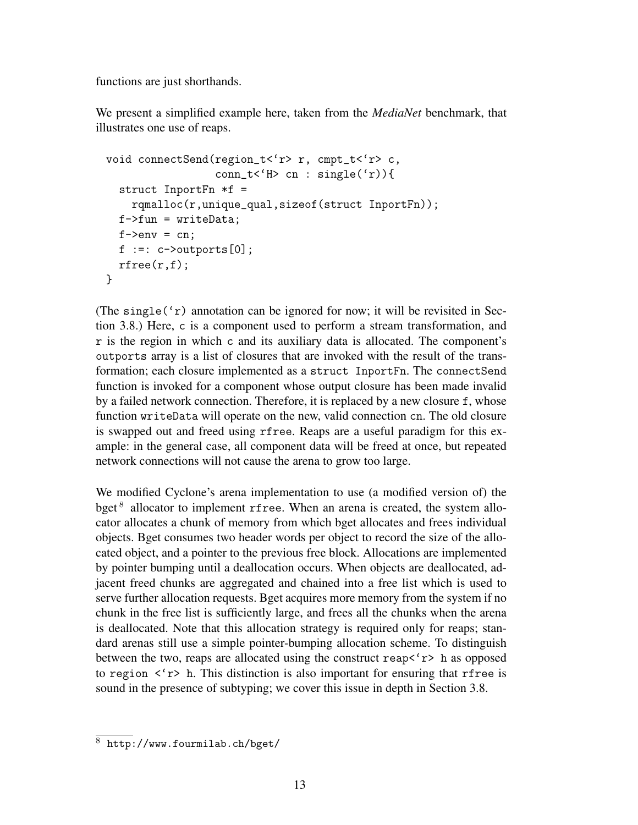functions are just shorthands.

We present a simplified example here, taken from the *MediaNet* benchmark, that illustrates one use of reaps.

```
void connectSend(region_t<'r> r, cmpt_t<'r> c,
                  conn_t < 'H> cn : single('r))struct InportFn *f =
    rqmalloc(r,unique_qual,sizeof(struct InportFn));
  f->fun = writeData;
  f->env = cn;
  f :=: c \rightarrow \text{outputs}[0];rfree(r,f);
}
```
(The single( $(r)$ ) annotation can be ignored for now; it will be revisited in Section 3.8.) Here, c is a component used to perform a stream transformation, and r is the region in which c and its auxiliary data is allocated. The component's outports array is a list of closures that are invoked with the result of the transformation; each closure implemented as a struct InportFn. The connectSend function is invoked for a component whose output closure has been made invalid by a failed network connection. Therefore, it is replaced by a new closure f, whose function writeData will operate on the new, valid connection cn. The old closure is swapped out and freed using rfree. Reaps are a useful paradigm for this example: in the general case, all component data will be freed at once, but repeated network connections will not cause the arena to grow too large.

We modified Cyclone's arena implementation to use (a modified version of) the bget<sup>8</sup> allocator to implement rfree. When an arena is created, the system allocator allocates a chunk of memory from which bget allocates and frees individual objects. Bget consumes two header words per object to record the size of the allocated object, and a pointer to the previous free block. Allocations are implemented by pointer bumping until a deallocation occurs. When objects are deallocated, adjacent freed chunks are aggregated and chained into a free list which is used to serve further allocation requests. Bget acquires more memory from the system if no chunk in the free list is sufficiently large, and frees all the chunks when the arena is deallocated. Note that this allocation strategy is required only for reaps; standard arenas still use a simple pointer-bumping allocation scheme. To distinguish between the two, reaps are allocated using the construct reap $\langle r \rangle$  h as opposed to region  $\langle r \rangle$  h. This distinction is also important for ensuring that rfree is sound in the presence of subtyping; we cover this issue in depth in Section 3.8.

<sup>8</sup> http://www.fourmilab.ch/bget/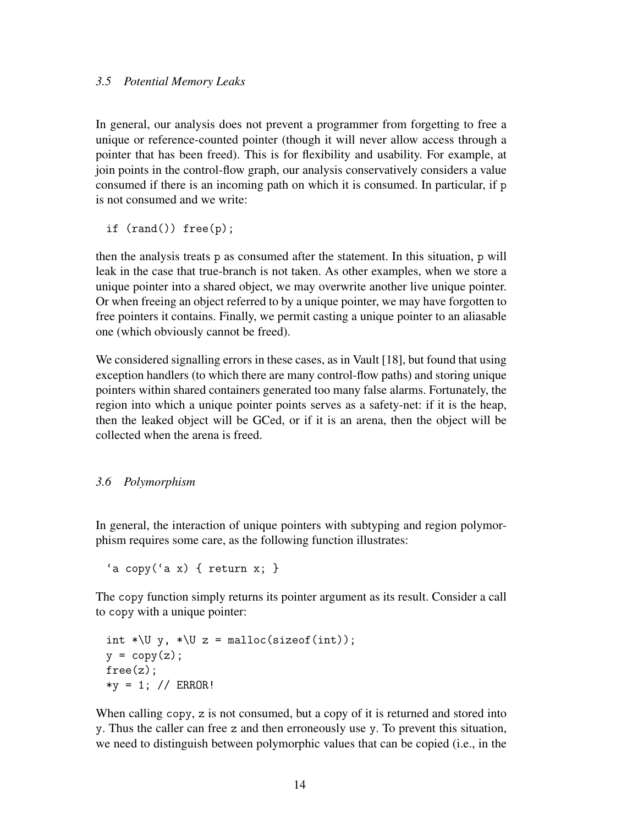#### *3.5 Potential Memory Leaks*

In general, our analysis does not prevent a programmer from forgetting to free a unique or reference-counted pointer (though it will never allow access through a pointer that has been freed). This is for flexibility and usability. For example, at join points in the control-flow graph, our analysis conservatively considers a value consumed if there is an incoming path on which it is consumed. In particular, if p is not consumed and we write:

if (rand()) free(p);

then the analysis treats p as consumed after the statement. In this situation, p will leak in the case that true-branch is not taken. As other examples, when we store a unique pointer into a shared object, we may overwrite another live unique pointer. Or when freeing an object referred to by a unique pointer, we may have forgotten to free pointers it contains. Finally, we permit casting a unique pointer to an aliasable one (which obviously cannot be freed).

We considered signalling errors in these cases, as in Vault [18], but found that using exception handlers (to which there are many control-flow paths) and storing unique pointers within shared containers generated too many false alarms. Fortunately, the region into which a unique pointer points serves as a safety-net: if it is the heap, then the leaked object will be GCed, or if it is an arena, then the object will be collected when the arena is freed.

### *3.6 Polymorphism*

In general, the interaction of unique pointers with subtyping and region polymorphism requires some care, as the following function illustrates:

'a copy('a x) { return x; }

The copy function simply returns its pointer argument as its result. Consider a call to copy with a unique pointer:

```
int *\U y, *\U z = malloc(sizeof(int));
y = copy(z);
free(z);
*y = 1; // ERROR!
```
When calling copy, z is not consumed, but a copy of it is returned and stored into y. Thus the caller can free z and then erroneously use y. To prevent this situation, we need to distinguish between polymorphic values that can be copied (i.e., in the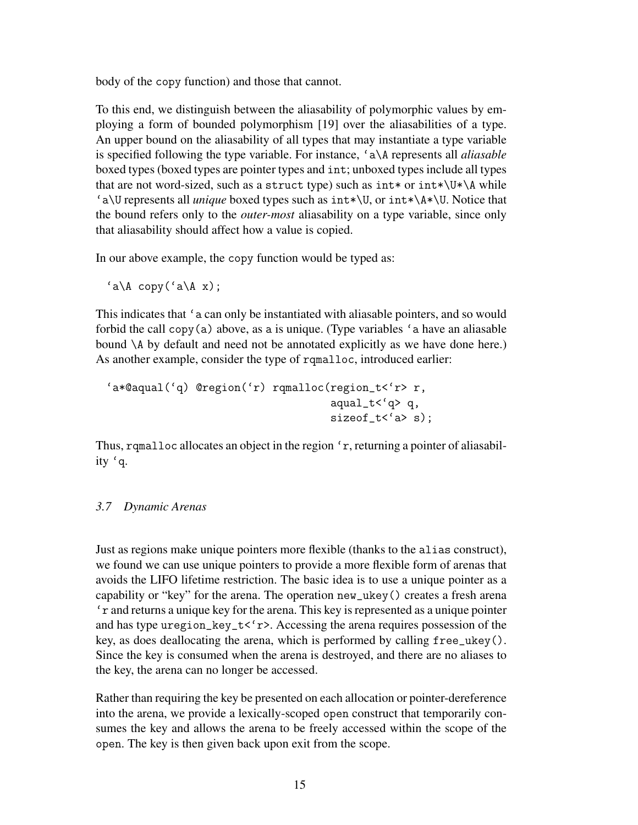body of the copy function) and those that cannot.

To this end, we distinguish between the aliasability of polymorphic values by employing a form of bounded polymorphism [19] over the aliasabilities of a type. An upper bound on the aliasability of all types that may instantiate a type variable is specified following the type variable. For instance, 'a\A represents all *aliasable* boxed types (boxed types are pointer types and int; unboxed types include all types that are not word-sized, such as a struct type) such as  $int*$  or  $int*$   $\U*$   $\A$  while 'a\U represents all *unique* boxed types such as int\*\U, or int\*\A\*\U. Notice that the bound refers only to the *outer-most* aliasability on a type variable, since only that aliasability should affect how a value is copied.

In our above example, the copy function would be typed as:

 $'a \A \text{copy} ('a \A x);$ 

This indicates that 'a can only be instantiated with aliasable pointers, and so would forbid the call  $\text{copy}(a)$  above, as a is unique. (Type variables 'a have an aliasable bound \A by default and need not be annotated explicitly as we have done here.) As another example, consider the type of rqmalloc, introduced earlier:

```
'a*@aqual('q) @region('r) rqmalloc(region_t<'r> r,
                                    aqual_t < 'q q,
                                    sizeof_t< 'a> s);
```
Thus, rqmalloc allocates an object in the region 'r, returning a pointer of aliasability 'q.

# *3.7 Dynamic Arenas*

Just as regions make unique pointers more flexible (thanks to the alias construct), we found we can use unique pointers to provide a more flexible form of arenas that avoids the LIFO lifetime restriction. The basic idea is to use a unique pointer as a capability or "key" for the arena. The operation new\_ukey() creates a fresh arena 'r and returns a unique key for the arena. This key is represented as a unique pointer and has type uregion\_key\_t< $\langle r \rangle$ . Accessing the arena requires possession of the key, as does deallocating the arena, which is performed by calling free\_ukey(). Since the key is consumed when the arena is destroyed, and there are no aliases to the key, the arena can no longer be accessed.

Rather than requiring the key be presented on each allocation or pointer-dereference into the arena, we provide a lexically-scoped open construct that temporarily consumes the key and allows the arena to be freely accessed within the scope of the open. The key is then given back upon exit from the scope.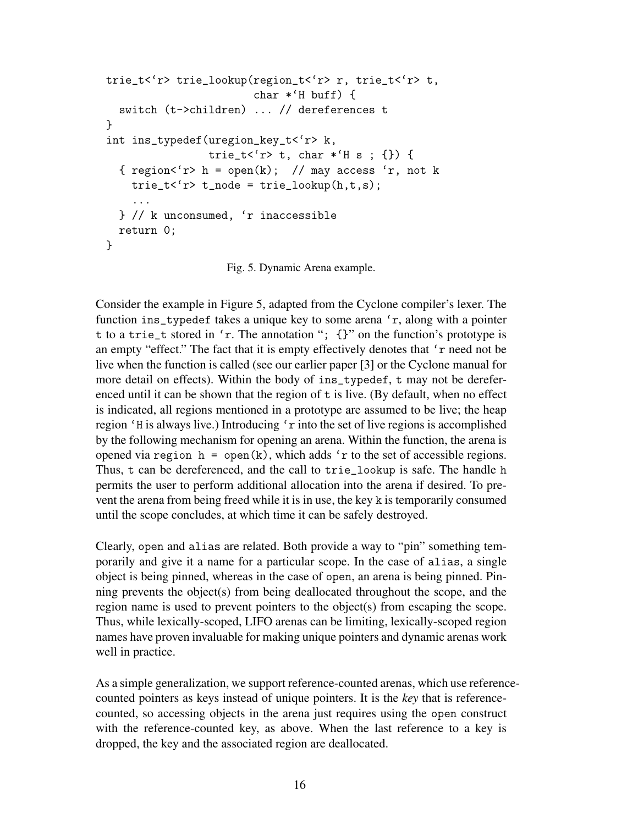```
trie_t<'r> trie_lookup(region_t<'r> r, trie_t<'r> t,
                       char *'H buff) {
  switch (t->children) ... // dereferences t
}
int ins_typedef(uregion_key_t<'r> k,
                trie_t<'r> t, char *'H s ; {}) {
  { region < 'r>h = open(k); // may access 'r, not k
    trie_t < 'r t\_node = trie\_lookup(h, t, s);...
  } // k unconsumed, 'r inaccessible
 return 0;
}
```
Fig. 5. Dynamic Arena example.

Consider the example in Figure 5, adapted from the Cyclone compiler's lexer. The function ins\_typedef takes a unique key to some arena 'r, along with a pointer t to a trie\_t stored in 'r. The annotation "; {}" on the function's prototype is an empty "effect." The fact that it is empty effectively denotes that 'r need not be live when the function is called (see our earlier paper [3] or the Cyclone manual for more detail on effects). Within the body of ins\_typedef, t may not be dereferenced until it can be shown that the region of t is live. (By default, when no effect is indicated, all regions mentioned in a prototype are assumed to be live; the heap region 'H is always live.) Introducing 'r into the set of live regions is accomplished by the following mechanism for opening an arena. Within the function, the arena is opened via region  $h = \text{open}(k)$ , which adds 'r to the set of accessible regions. Thus, t can be dereferenced, and the call to trie\_lookup is safe. The handle h permits the user to perform additional allocation into the arena if desired. To prevent the arena from being freed while it is in use, the key k is temporarily consumed until the scope concludes, at which time it can be safely destroyed.

Clearly, open and alias are related. Both provide a way to "pin" something temporarily and give it a name for a particular scope. In the case of alias, a single object is being pinned, whereas in the case of open, an arena is being pinned. Pinning prevents the object(s) from being deallocated throughout the scope, and the region name is used to prevent pointers to the object(s) from escaping the scope. Thus, while lexically-scoped, LIFO arenas can be limiting, lexically-scoped region names have proven invaluable for making unique pointers and dynamic arenas work well in practice.

As a simple generalization, we support reference-counted arenas, which use referencecounted pointers as keys instead of unique pointers. It is the *key* that is referencecounted, so accessing objects in the arena just requires using the open construct with the reference-counted key, as above. When the last reference to a key is dropped, the key and the associated region are deallocated.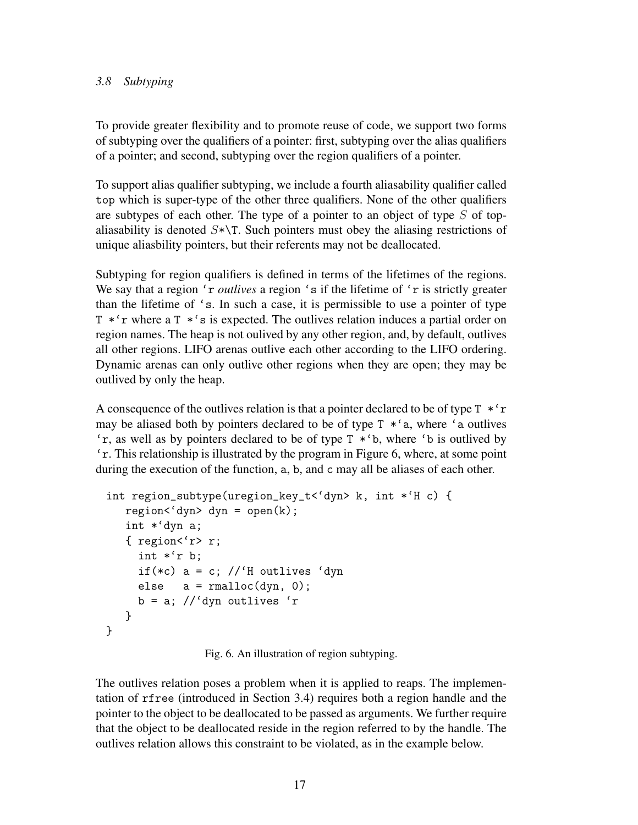# *3.8 Subtyping*

To provide greater flexibility and to promote reuse of code, we support two forms of subtyping over the qualifiers of a pointer: first, subtyping over the alias qualifiers of a pointer; and second, subtyping over the region qualifiers of a pointer.

To support alias qualifier subtyping, we include a fourth aliasability qualifier called top which is super-type of the other three qualifiers. None of the other qualifiers are subtypes of each other. The type of a pointer to an object of type  $S$  of topaliasability is denoted  $S^*\$ T. Such pointers must obey the aliasing restrictions of unique aliasbility pointers, but their referents may not be deallocated.

Subtyping for region qualifiers is defined in terms of the lifetimes of the regions. We say that a region 'r *outlives* a region 's if the lifetime of 'r is strictly greater than the lifetime of 's. In such a case, it is permissible to use a pointer of type T \*'r where a T \*'s is expected. The outlives relation induces a partial order on region names. The heap is not oulived by any other region, and, by default, outlives all other regions. LIFO arenas outlive each other according to the LIFO ordering. Dynamic arenas can only outlive other regions when they are open; they may be outlived by only the heap.

A consequence of the outlives relation is that a pointer declared to be of type  $T * r$ may be aliased both by pointers declared to be of type  $T *^c a$ , where 'a outlives 'r, as well as by pointers declared to be of type T \*'b, where 'b is outlived by 'r. This relationship is illustrated by the program in Figure 6, where, at some point during the execution of the function, a, b, and c may all be aliases of each other.

```
int region_subtype(uregion_key_t<'dyn> k, int *'H c) {
   region < 'dyn dyn = open(k);
   int *'dyn a;
   { region<'r> r;
     int *'r b;
     if(*c) a = c; //'H outlives 'dyn
     else a = \text{rmalloc}(dyn, 0);b = a; //'dyn outlives 'r
   }
}
```
Fig. 6. An illustration of region subtyping.

The outlives relation poses a problem when it is applied to reaps. The implementation of rfree (introduced in Section 3.4) requires both a region handle and the pointer to the object to be deallocated to be passed as arguments. We further require that the object to be deallocated reside in the region referred to by the handle. The outlives relation allows this constraint to be violated, as in the example below.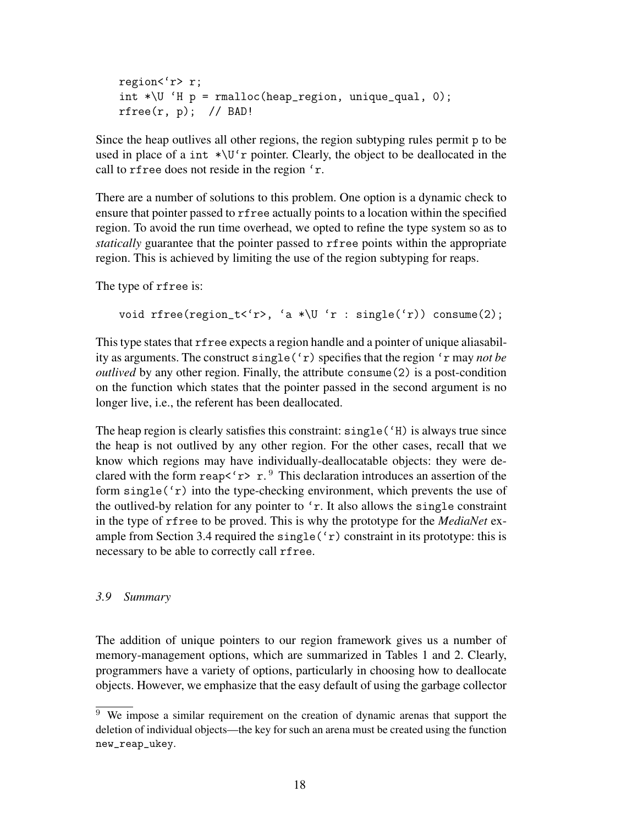```
region<'r> r;
int \sqrt{U} 'H p = \text{rmalloc}(\text{heap\_region}, \text{unique\_qual}, 0);rfree(r, p); // BAD!
```
Since the heap outlives all other regions, the region subtyping rules permit p to be used in place of a int  $\star \Upsilon$  r pointer. Clearly, the object to be deallocated in the call to rfree does not reside in the region 'r.

There are a number of solutions to this problem. One option is a dynamic check to ensure that pointer passed to rfree actually points to a location within the specified region. To avoid the run time overhead, we opted to refine the type system so as to *statically* guarantee that the pointer passed to rfree points within the appropriate region. This is achieved by limiting the use of the region subtyping for reaps.

The type of rfree is:

```
void rfree(region_t<'r>, 'a *\U 'r : single('r)) consume(2);
```
This type states that rfree expects a region handle and a pointer of unique aliasability as arguments. The construct single('r) specifies that the region 'r may *not be outlived* by any other region. Finally, the attribute consume(2) is a post-condition on the function which states that the pointer passed in the second argument is no longer live, i.e., the referent has been deallocated.

The heap region is clearly satisfies this constraint:  $single('H)$  is always true since the heap is not outlived by any other region. For the other cases, recall that we know which regions may have individually-deallocatable objects: they were declared with the form reap $\langle r \rangle r$ .<sup>9</sup> This declaration introduces an assertion of the form  $single('r)$  into the type-checking environment, which prevents the use of the outlived-by relation for any pointer to 'r. It also allows the single constraint in the type of rfree to be proved. This is why the prototype for the *MediaNet* example from Section 3.4 required the single  $('r)$  constraint in its prototype: this is necessary to be able to correctly call rfree.

### *3.9 Summary*

The addition of unique pointers to our region framework gives us a number of memory-management options, which are summarized in Tables 1 and 2. Clearly, programmers have a variety of options, particularly in choosing how to deallocate objects. However, we emphasize that the easy default of using the garbage collector

<sup>&</sup>lt;sup>9</sup> We impose a similar requirement on the creation of dynamic arenas that support the deletion of individual objects—the key for such an arena must be created using the function new\_reap\_ukey.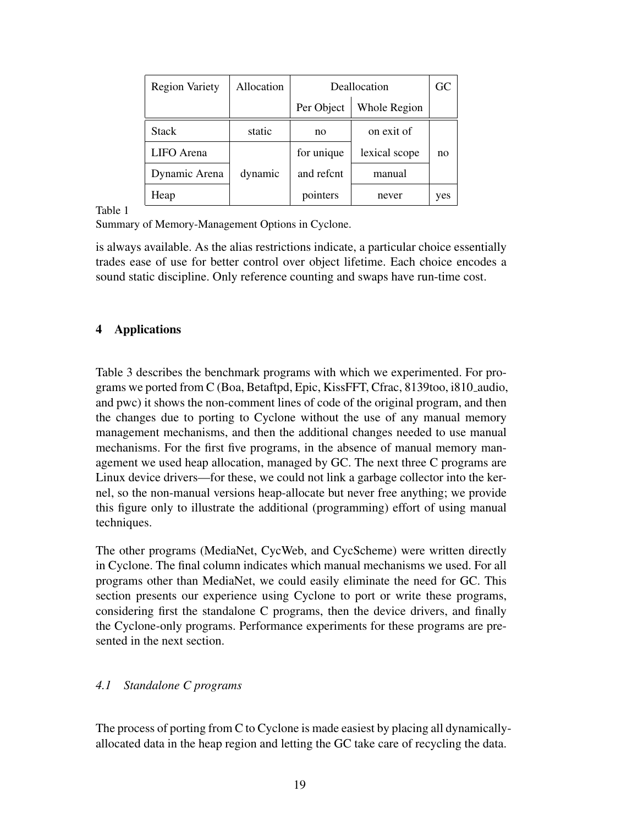| <b>Region Variety</b> | Allocation | Deallocation | GC            |     |
|-----------------------|------------|--------------|---------------|-----|
|                       |            | Per Object   | Whole Region  |     |
| <b>Stack</b>          | static     | no           | on exit of    |     |
| LIFO Arena            |            | for unique   | lexical scope | no  |
| Dynamic Arena         | dynamic    | and refent   | manual        |     |
| Heap                  |            | pointers     | never         | yes |

Table 1

Summary of Memory-Management Options in Cyclone.

is always available. As the alias restrictions indicate, a particular choice essentially trades ease of use for better control over object lifetime. Each choice encodes a sound static discipline. Only reference counting and swaps have run-time cost.

# 4 Applications

Table 3 describes the benchmark programs with which we experimented. For programs we ported from C (Boa, Betaftpd, Epic, KissFFT, Cfrac, 8139too, i810 audio, and pwc) it shows the non-comment lines of code of the original program, and then the changes due to porting to Cyclone without the use of any manual memory management mechanisms, and then the additional changes needed to use manual mechanisms. For the first five programs, in the absence of manual memory management we used heap allocation, managed by GC. The next three C programs are Linux device drivers—for these, we could not link a garbage collector into the kernel, so the non-manual versions heap-allocate but never free anything; we provide this figure only to illustrate the additional (programming) effort of using manual techniques.

The other programs (MediaNet, CycWeb, and CycScheme) were written directly in Cyclone. The final column indicates which manual mechanisms we used. For all programs other than MediaNet, we could easily eliminate the need for GC. This section presents our experience using Cyclone to port or write these programs, considering first the standalone C programs, then the device drivers, and finally the Cyclone-only programs. Performance experiments for these programs are presented in the next section.

# *4.1 Standalone C programs*

The process of porting from C to Cyclone is made easiest by placing all dynamicallyallocated data in the heap region and letting the GC take care of recycling the data.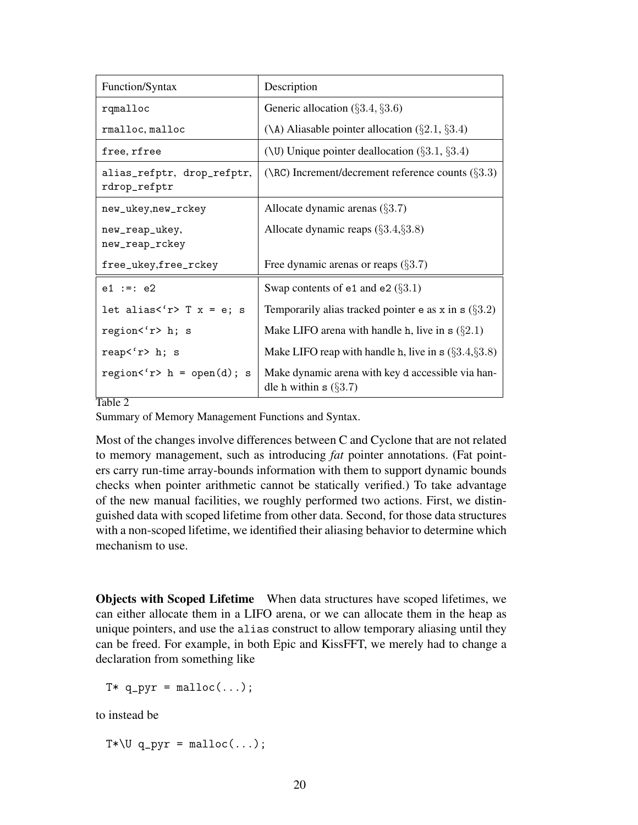| Function/Syntax                            | Description                                                                  |
|--------------------------------------------|------------------------------------------------------------------------------|
| rqmalloc                                   | Generic allocation $(\S 3.4, \S 3.6)$                                        |
| rmalloc, malloc                            | (\A) Aliasable pointer allocation $(\S 2.1, \S 3.4)$                         |
| free, rfree                                | (\U) Unique pointer deallocation $(\S 3.1, \S 3.4)$                          |
| alias_refptr, drop_refptr,<br>rdrop_refptr | $(\Re)$ Increment/decrement reference counts $(\S3.3)$                       |
| new_ukey,new_rckey                         | Allocate dynamic arenas $(\S3.7)$                                            |
| new_reap_ukey,<br>new_reap_rckey           | Allocate dynamic reaps $(\S 3.4, \S 3.8)$                                    |
| free_ukey,free_rckey                       | Free dynamic arenas or reaps $(\S3.7)$                                       |
| $e1 := e2$                                 | Swap contents of $e1$ and $e2$ ( $\S3.1$ )                                   |
| let alias<'r> $T$ x = e; s                 | Temporarily alias tracked pointer e as x in s $(\S3.2)$                      |
| region<'r> h; s                            | Make LIFO arena with handle h, live in $s(\S2.1)$                            |
| reap<'r>>'s h; s                           | Make LIFO reap with handle h, live in $\mathbf{s}$ (§3.4,§3.8)               |
| region<'r> $h = \text{open}(d)$ ; s        | Make dynamic arena with key d accessible via han-<br>dle h within $s$ (§3.7) |

Table 2

Summary of Memory Management Functions and Syntax.

Most of the changes involve differences between C and Cyclone that are not related to memory management, such as introducing *fat* pointer annotations. (Fat pointers carry run-time array-bounds information with them to support dynamic bounds checks when pointer arithmetic cannot be statically verified.) To take advantage of the new manual facilities, we roughly performed two actions. First, we distinguished data with scoped lifetime from other data. Second, for those data structures with a non-scoped lifetime, we identified their aliasing behavior to determine which mechanism to use.

Objects with Scoped Lifetime When data structures have scoped lifetimes, we can either allocate them in a LIFO arena, or we can allocate them in the heap as unique pointers, and use the alias construct to allow temporary aliasing until they can be freed. For example, in both Epic and KissFFT, we merely had to change a declaration from something like

 $T* q_pyr = \text{malloc}(\ldots);$ 

to instead be

 $T*\U q_pyr = \text{malloc}(\dots);$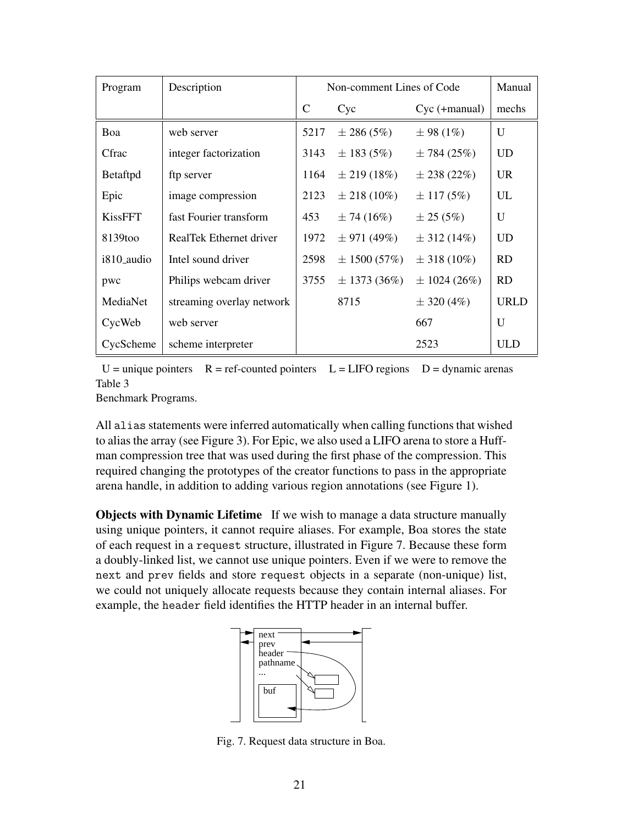| Program        | Description               | Non-comment Lines of Code |                  |                  | Manual       |
|----------------|---------------------------|---------------------------|------------------|------------------|--------------|
|                |                           | $\mathcal{C}$             | Cyc              | $Cyc$ (+manual)  | mechs        |
| Boa            | web server                | 5217                      | $\pm 286(5%)$    | $\pm$ 98 (1%)    | U            |
| Cfrac          | integer factorization     | 3143                      | $\pm 183(5\%)$   | $\pm 784(25%)$   | <b>UD</b>    |
| Betaftpd       | ftp server                | 1164                      | $\pm 219(18\%)$  | $\pm 238(22%)$   | <b>UR</b>    |
| Epic           | image compression         | 2123                      | $\pm 218(10\%)$  | $\pm$ 117 (5%)   | UL           |
| <b>KissFFT</b> | fast Fourier transform    | 453                       | $\pm 74(16%)$    | $\pm 25(5%)$     | U            |
| 8139too        | RealTek Ethernet driver   | 1972                      | $\pm$ 971 (49%)  | $\pm$ 312 (14%)  | UD           |
| i810_audio     | Intel sound driver        | 2598                      | $\pm 1500(57%)$  | $\pm$ 318 (10%)  | RD           |
| pwc            | Philips webcam driver     | 3755                      | $\pm$ 1373 (36%) | $\pm 1024(26\%)$ | <b>RD</b>    |
| MediaNet       | streaming overlay network |                           | 8715             | $\pm$ 320 (4%)   | <b>URLD</b>  |
| CycWeb         | web server                |                           |                  | 667              | $\mathbf{U}$ |
| CycScheme      | scheme interpreter        |                           |                  | 2523             | <b>ULD</b>   |

 $U =$  unique pointers  $R =$  ref-counted pointers  $L = LIFO$  regions  $D =$  dynamic arenas Table 3

Benchmark Programs.

All alias statements were inferred automatically when calling functions that wished to alias the array (see Figure 3). For Epic, we also used a LIFO arena to store a Huffman compression tree that was used during the first phase of the compression. This required changing the prototypes of the creator functions to pass in the appropriate arena handle, in addition to adding various region annotations (see Figure 1).

**Objects with Dynamic Lifetime** If we wish to manage a data structure manually using unique pointers, it cannot require aliases. For example, Boa stores the state of each request in a request structure, illustrated in Figure 7. Because these form a doubly-linked list, we cannot use unique pointers. Even if we were to remove the next and prev fields and store request objects in a separate (non-unique) list, we could not uniquely allocate requests because they contain internal aliases. For example, the header field identifies the HTTP header in an internal buffer.



Fig. 7. Request data structure in Boa.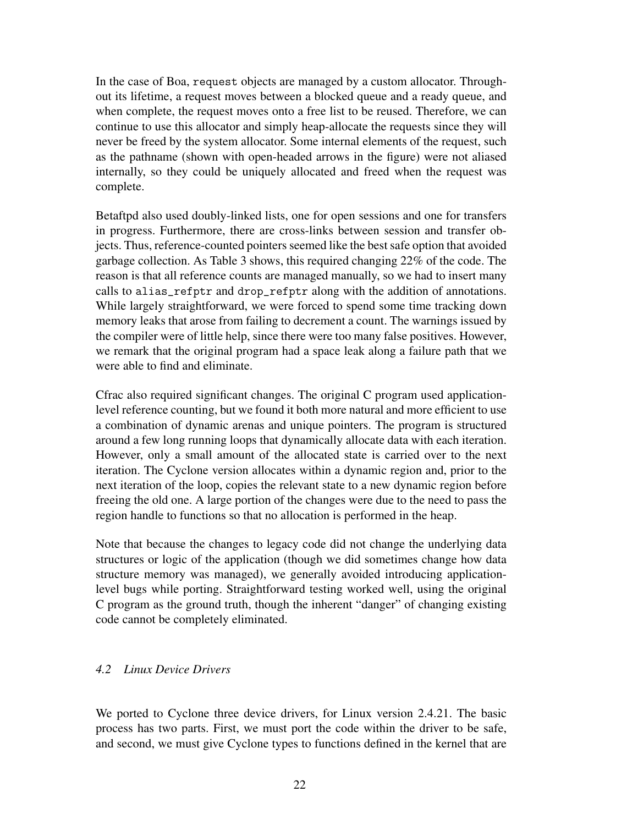In the case of Boa, request objects are managed by a custom allocator. Throughout its lifetime, a request moves between a blocked queue and a ready queue, and when complete, the request moves onto a free list to be reused. Therefore, we can continue to use this allocator and simply heap-allocate the requests since they will never be freed by the system allocator. Some internal elements of the request, such as the pathname (shown with open-headed arrows in the figure) were not aliased internally, so they could be uniquely allocated and freed when the request was complete.

Betaftpd also used doubly-linked lists, one for open sessions and one for transfers in progress. Furthermore, there are cross-links between session and transfer objects. Thus, reference-counted pointers seemed like the best safe option that avoided garbage collection. As Table 3 shows, this required changing 22% of the code. The reason is that all reference counts are managed manually, so we had to insert many calls to alias\_refptr and drop\_refptr along with the addition of annotations. While largely straightforward, we were forced to spend some time tracking down memory leaks that arose from failing to decrement a count. The warnings issued by the compiler were of little help, since there were too many false positives. However, we remark that the original program had a space leak along a failure path that we were able to find and eliminate.

Cfrac also required significant changes. The original C program used applicationlevel reference counting, but we found it both more natural and more efficient to use a combination of dynamic arenas and unique pointers. The program is structured around a few long running loops that dynamically allocate data with each iteration. However, only a small amount of the allocated state is carried over to the next iteration. The Cyclone version allocates within a dynamic region and, prior to the next iteration of the loop, copies the relevant state to a new dynamic region before freeing the old one. A large portion of the changes were due to the need to pass the region handle to functions so that no allocation is performed in the heap.

Note that because the changes to legacy code did not change the underlying data structures or logic of the application (though we did sometimes change how data structure memory was managed), we generally avoided introducing applicationlevel bugs while porting. Straightforward testing worked well, using the original C program as the ground truth, though the inherent "danger" of changing existing code cannot be completely eliminated.

#### *4.2 Linux Device Drivers*

We ported to Cyclone three device drivers, for Linux version 2.4.21. The basic process has two parts. First, we must port the code within the driver to be safe, and second, we must give Cyclone types to functions defined in the kernel that are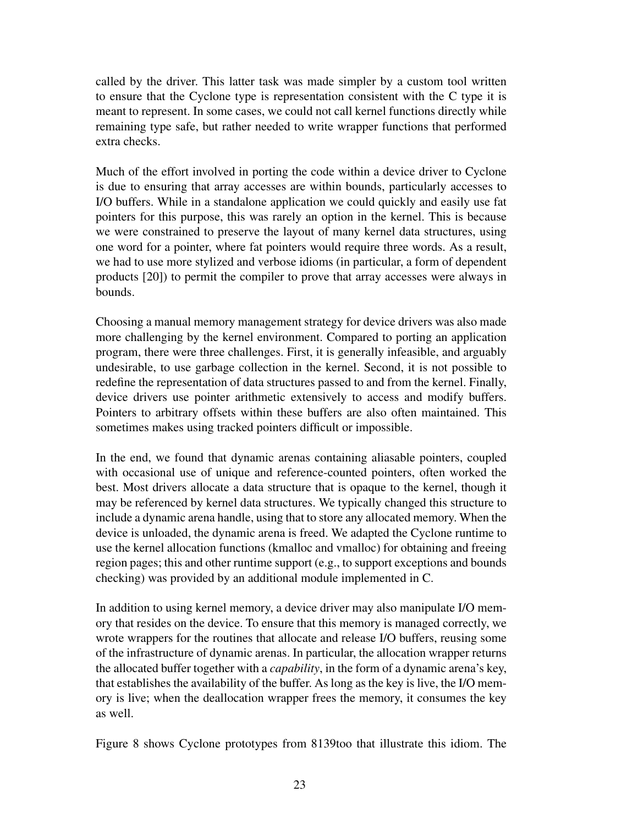called by the driver. This latter task was made simpler by a custom tool written to ensure that the Cyclone type is representation consistent with the C type it is meant to represent. In some cases, we could not call kernel functions directly while remaining type safe, but rather needed to write wrapper functions that performed extra checks.

Much of the effort involved in porting the code within a device driver to Cyclone is due to ensuring that array accesses are within bounds, particularly accesses to I/O buffers. While in a standalone application we could quickly and easily use fat pointers for this purpose, this was rarely an option in the kernel. This is because we were constrained to preserve the layout of many kernel data structures, using one word for a pointer, where fat pointers would require three words. As a result, we had to use more stylized and verbose idioms (in particular, a form of dependent products [20]) to permit the compiler to prove that array accesses were always in bounds.

Choosing a manual memory management strategy for device drivers was also made more challenging by the kernel environment. Compared to porting an application program, there were three challenges. First, it is generally infeasible, and arguably undesirable, to use garbage collection in the kernel. Second, it is not possible to redefine the representation of data structures passed to and from the kernel. Finally, device drivers use pointer arithmetic extensively to access and modify buffers. Pointers to arbitrary offsets within these buffers are also often maintained. This sometimes makes using tracked pointers difficult or impossible.

In the end, we found that dynamic arenas containing aliasable pointers, coupled with occasional use of unique and reference-counted pointers, often worked the best. Most drivers allocate a data structure that is opaque to the kernel, though it may be referenced by kernel data structures. We typically changed this structure to include a dynamic arena handle, using that to store any allocated memory. When the device is unloaded, the dynamic arena is freed. We adapted the Cyclone runtime to use the kernel allocation functions (kmalloc and vmalloc) for obtaining and freeing region pages; this and other runtime support (e.g., to support exceptions and bounds checking) was provided by an additional module implemented in C.

In addition to using kernel memory, a device driver may also manipulate I/O memory that resides on the device. To ensure that this memory is managed correctly, we wrote wrappers for the routines that allocate and release I/O buffers, reusing some of the infrastructure of dynamic arenas. In particular, the allocation wrapper returns the allocated buffer together with a *capability*, in the form of a dynamic arena's key, that establishes the availability of the buffer. As long as the key is live, the I/O memory is live; when the deallocation wrapper frees the memory, it consumes the key as well.

Figure 8 shows Cyclone prototypes from 8139too that illustrate this idiom. The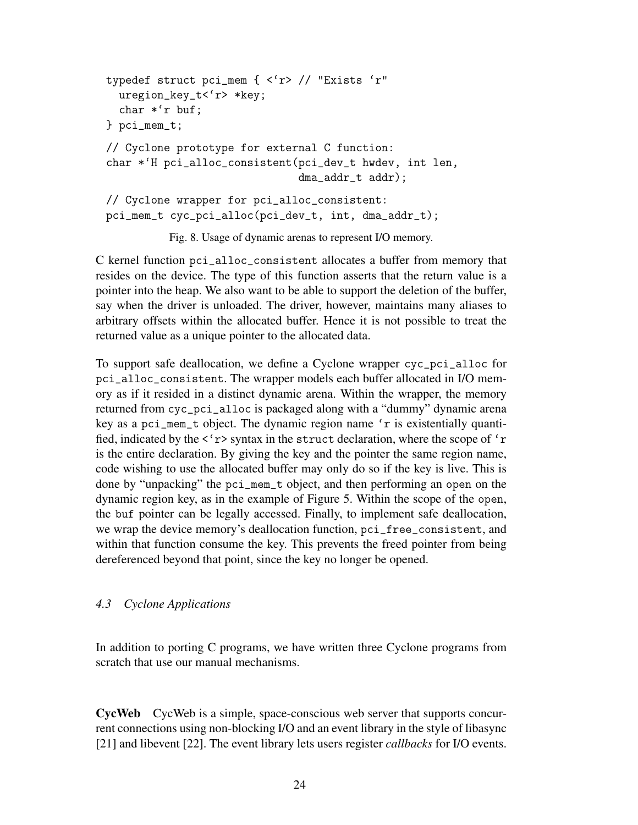```
typedef struct pci_mem { <'r> // "Exists 'r"
  uregion_key_t<'r> *key;
  char *'r buf;
} pci_mem_t;
// Cyclone prototype for external C function:
char *'H pci_alloc_consistent(pci_dev_t hwdev, int len,
                              dma_addr_t addr);
// Cyclone wrapper for pci_alloc_consistent:
pci_mem_t cyc_pci_alloc(pci_dev_t, int, dma_addr_t);
```
Fig. 8. Usage of dynamic arenas to represent I/O memory.

C kernel function pci\_alloc\_consistent allocates a buffer from memory that resides on the device. The type of this function asserts that the return value is a pointer into the heap. We also want to be able to support the deletion of the buffer, say when the driver is unloaded. The driver, however, maintains many aliases to arbitrary offsets within the allocated buffer. Hence it is not possible to treat the returned value as a unique pointer to the allocated data.

To support safe deallocation, we define a Cyclone wrapper cyc\_pci\_alloc for pci\_alloc\_consistent. The wrapper models each buffer allocated in I/O memory as if it resided in a distinct dynamic arena. Within the wrapper, the memory returned from cyc\_pci\_alloc is packaged along with a "dummy" dynamic arena key as a pci\_mem\_t object. The dynamic region name 'r is existentially quantified, indicated by the  $\langle 'r \rangle$  syntax in the struct declaration, where the scope of  $'r$ is the entire declaration. By giving the key and the pointer the same region name, code wishing to use the allocated buffer may only do so if the key is live. This is done by "unpacking" the pci\_mem\_t object, and then performing an open on the dynamic region key, as in the example of Figure 5. Within the scope of the open, the buf pointer can be legally accessed. Finally, to implement safe deallocation, we wrap the device memory's deallocation function, pci\_free\_consistent, and within that function consume the key. This prevents the freed pointer from being dereferenced beyond that point, since the key no longer be opened.

### *4.3 Cyclone Applications*

In addition to porting C programs, we have written three Cyclone programs from scratch that use our manual mechanisms.

CycWeb CycWeb is a simple, space-conscious web server that supports concurrent connections using non-blocking I/O and an event library in the style of libasync [21] and libevent [22]. The event library lets users register *callbacks* for I/O events.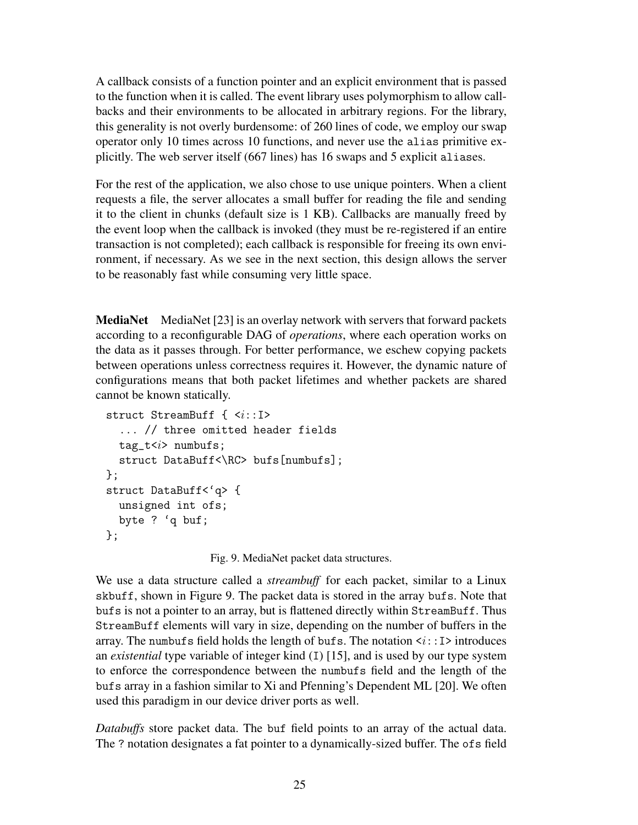A callback consists of a function pointer and an explicit environment that is passed to the function when it is called. The event library uses polymorphism to allow callbacks and their environments to be allocated in arbitrary regions. For the library, this generality is not overly burdensome: of 260 lines of code, we employ our swap operator only 10 times across 10 functions, and never use the alias primitive explicitly. The web server itself (667 lines) has 16 swaps and 5 explicit aliases.

For the rest of the application, we also chose to use unique pointers. When a client requests a file, the server allocates a small buffer for reading the file and sending it to the client in chunks (default size is 1 KB). Callbacks are manually freed by the event loop when the callback is invoked (they must be re-registered if an entire transaction is not completed); each callback is responsible for freeing its own environment, if necessary. As we see in the next section, this design allows the server to be reasonably fast while consuming very little space.

MediaNet MediaNet [23] is an overlay network with servers that forward packets according to a reconfigurable DAG of *operations*, where each operation works on the data as it passes through. For better performance, we eschew copying packets between operations unless correctness requires it. However, the dynamic nature of configurations means that both packet lifetimes and whether packets are shared cannot be known statically.

```
struct StreamBuff { \langle i:I \rangle... // three omitted header fields
  tag_t numbufs;
  struct DataBuff<\RC> bufs[numbufs];
};
struct DataBuff<'q> {
  unsigned int ofs;
 byte ? 'q buf;
};
```
Fig. 9. MediaNet packet data structures.

We use a data structure called a *streambuff* for each packet, similar to a Linux skbuff, shown in Figure 9. The packet data is stored in the array bufs. Note that bufs is not a pointer to an array, but is flattened directly within StreamBuff. Thus StreamBuff elements will vary in size, depending on the number of buffers in the array. The numbufs field holds the length of bufs. The notation  $\langle i: I \rangle$  introduces an *existential* type variable of integer kind (I) [15], and is used by our type system to enforce the correspondence between the numbufs field and the length of the bufs array in a fashion similar to Xi and Pfenning's Dependent ML [20]. We often used this paradigm in our device driver ports as well.

*Databuffs* store packet data. The buf field points to an array of the actual data. The ? notation designates a fat pointer to a dynamically-sized buffer. The ofs field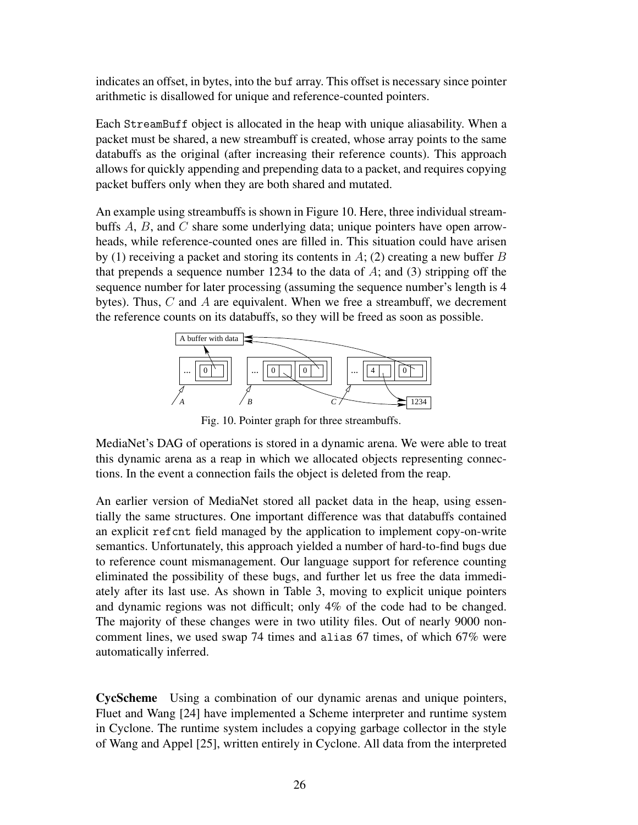indicates an offset, in bytes, into the buf array. This offset is necessary since pointer arithmetic is disallowed for unique and reference-counted pointers.

Each StreamBuff object is allocated in the heap with unique aliasability. When a packet must be shared, a new streambuff is created, whose array points to the same databuffs as the original (after increasing their reference counts). This approach allows for quickly appending and prepending data to a packet, and requires copying packet buffers only when they are both shared and mutated.

An example using streambuffs is shown in Figure 10. Here, three individual streambuffs A, B, and C share some underlying data; unique pointers have open arrowheads, while reference-counted ones are filled in. This situation could have arisen by (1) receiving a packet and storing its contents in  $A$ ; (2) creating a new buffer  $B$ that prepends a sequence number 1234 to the data of  $\hat{A}$ ; and (3) stripping off the sequence number for later processing (assuming the sequence number's length is 4 bytes). Thus,  $C$  and  $A$  are equivalent. When we free a streambuff, we decrement the reference counts on its databuffs, so they will be freed as soon as possible.



Fig. 10. Pointer graph for three streambuffs.

MediaNet's DAG of operations is stored in a dynamic arena. We were able to treat this dynamic arena as a reap in which we allocated objects representing connections. In the event a connection fails the object is deleted from the reap.

An earlier version of MediaNet stored all packet data in the heap, using essentially the same structures. One important difference was that databuffs contained an explicit refcnt field managed by the application to implement copy-on-write semantics. Unfortunately, this approach yielded a number of hard-to-find bugs due to reference count mismanagement. Our language support for reference counting eliminated the possibility of these bugs, and further let us free the data immediately after its last use. As shown in Table 3, moving to explicit unique pointers and dynamic regions was not difficult; only 4% of the code had to be changed. The majority of these changes were in two utility files. Out of nearly 9000 noncomment lines, we used swap 74 times and alias 67 times, of which 67% were automatically inferred.

CycScheme Using a combination of our dynamic arenas and unique pointers, Fluet and Wang [24] have implemented a Scheme interpreter and runtime system in Cyclone. The runtime system includes a copying garbage collector in the style of Wang and Appel [25], written entirely in Cyclone. All data from the interpreted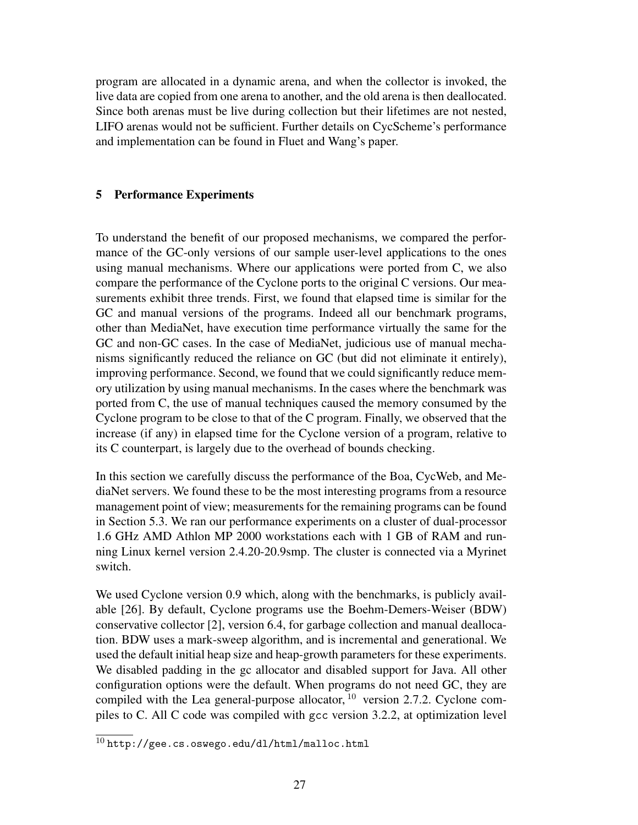program are allocated in a dynamic arena, and when the collector is invoked, the live data are copied from one arena to another, and the old arena is then deallocated. Since both arenas must be live during collection but their lifetimes are not nested, LIFO arenas would not be sufficient. Further details on CycScheme's performance and implementation can be found in Fluet and Wang's paper.

#### 5 Performance Experiments

To understand the benefit of our proposed mechanisms, we compared the performance of the GC-only versions of our sample user-level applications to the ones using manual mechanisms. Where our applications were ported from C, we also compare the performance of the Cyclone ports to the original C versions. Our measurements exhibit three trends. First, we found that elapsed time is similar for the GC and manual versions of the programs. Indeed all our benchmark programs, other than MediaNet, have execution time performance virtually the same for the GC and non-GC cases. In the case of MediaNet, judicious use of manual mechanisms significantly reduced the reliance on GC (but did not eliminate it entirely), improving performance. Second, we found that we could significantly reduce memory utilization by using manual mechanisms. In the cases where the benchmark was ported from C, the use of manual techniques caused the memory consumed by the Cyclone program to be close to that of the C program. Finally, we observed that the increase (if any) in elapsed time for the Cyclone version of a program, relative to its C counterpart, is largely due to the overhead of bounds checking.

In this section we carefully discuss the performance of the Boa, CycWeb, and MediaNet servers. We found these to be the most interesting programs from a resource management point of view; measurements for the remaining programs can be found in Section 5.3. We ran our performance experiments on a cluster of dual-processor 1.6 GHz AMD Athlon MP 2000 workstations each with 1 GB of RAM and running Linux kernel version 2.4.20-20.9smp. The cluster is connected via a Myrinet switch.

We used Cyclone version 0.9 which, along with the benchmarks, is publicly available [26]. By default, Cyclone programs use the Boehm-Demers-Weiser (BDW) conservative collector [2], version 6.4, for garbage collection and manual deallocation. BDW uses a mark-sweep algorithm, and is incremental and generational. We used the default initial heap size and heap-growth parameters for these experiments. We disabled padding in the gc allocator and disabled support for Java. All other configuration options were the default. When programs do not need GC, they are compiled with the Lea general-purpose allocator,  $10$  version 2.7.2. Cyclone compiles to C. All C code was compiled with gcc version 3.2.2, at optimization level

 $\frac{10 \text{ http://gee.cs.oswego.edu/dl/html/malloc.html}}{}$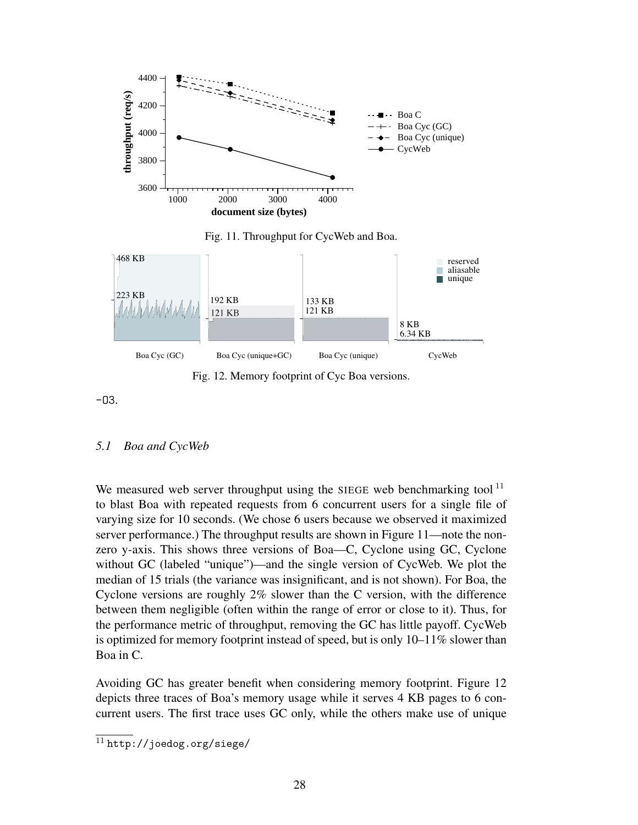

Fig. 11. Throughput for CycWeb and Boa.



Fig. 12. Memory footprint of Cyc Boa versions.

 $-03.$ 

# *5.1 Boa and CycWeb*

We measured web server throughput using the SIEGE web benchmarking tool<sup>11</sup> to blast Boa with repeated requests from 6 concurrent users for a single file of varying size for 10 seconds. (We chose 6 users because we observed it maximized server performance.) The throughput results are shown in Figure 11—note the nonzero y-axis. This shows three versions of Boa—C, Cyclone using GC, Cyclone without GC (labeled "unique")—and the single version of CycWeb. We plot the median of 15 trials (the variance was insignificant, and is not shown). For Boa, the Cyclone versions are roughly 2% slower than the C version, with the difference between them negligible (often within the range of error or close to it). Thus, for the performance metric of throughput, removing the GC has little payoff. CycWeb is optimized for memory footprint instead of speed, but is only  $10-11\%$  slower than Boa in C.

Avoiding GC has greater benefit when considering memory footprint. Figure 12 depicts three traces of Boa's memory usage while it serves 4 KB pages to 6 concurrent users. The first trace uses GC only, while the others make use of unique

 $\overline{11 \text{ http://joedog.org/siege/}}$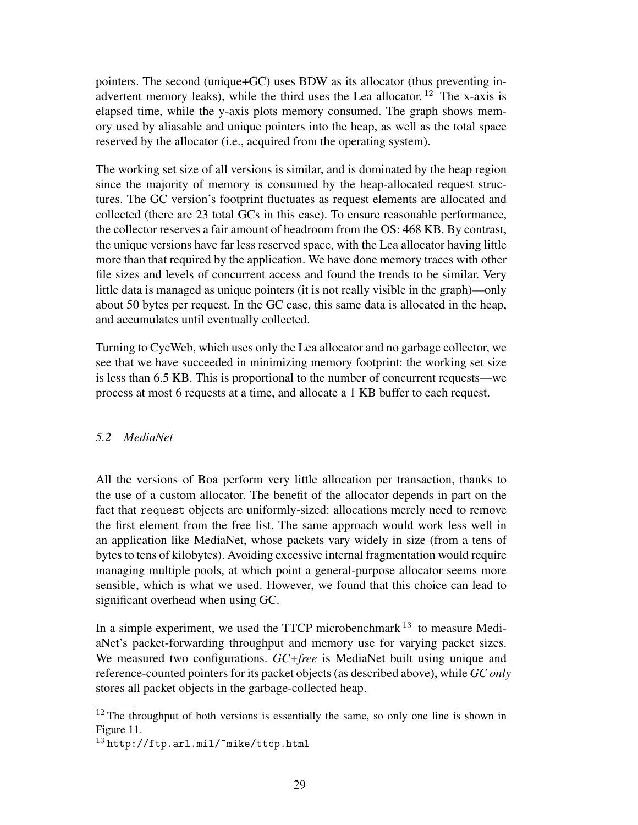pointers. The second (unique+GC) uses BDW as its allocator (thus preventing inadvertent memory leaks), while the third uses the Lea allocator. <sup>12</sup> The x-axis is elapsed time, while the y-axis plots memory consumed. The graph shows memory used by aliasable and unique pointers into the heap, as well as the total space reserved by the allocator (i.e., acquired from the operating system).

The working set size of all versions is similar, and is dominated by the heap region since the majority of memory is consumed by the heap-allocated request structures. The GC version's footprint fluctuates as request elements are allocated and collected (there are 23 total GCs in this case). To ensure reasonable performance, the collector reserves a fair amount of headroom from the OS: 468 KB. By contrast, the unique versions have far less reserved space, with the Lea allocator having little more than that required by the application. We have done memory traces with other file sizes and levels of concurrent access and found the trends to be similar. Very little data is managed as unique pointers (it is not really visible in the graph)—only about 50 bytes per request. In the GC case, this same data is allocated in the heap, and accumulates until eventually collected.

Turning to CycWeb, which uses only the Lea allocator and no garbage collector, we see that we have succeeded in minimizing memory footprint: the working set size is less than 6.5 KB. This is proportional to the number of concurrent requests—we process at most 6 requests at a time, and allocate a 1 KB buffer to each request.

### *5.2 MediaNet*

All the versions of Boa perform very little allocation per transaction, thanks to the use of a custom allocator. The benefit of the allocator depends in part on the fact that request objects are uniformly-sized: allocations merely need to remove the first element from the free list. The same approach would work less well in an application like MediaNet, whose packets vary widely in size (from a tens of bytes to tens of kilobytes). Avoiding excessive internal fragmentation would require managing multiple pools, at which point a general-purpose allocator seems more sensible, which is what we used. However, we found that this choice can lead to significant overhead when using GC.

In a simple experiment, we used the TTCP microbenchmark  $13$  to measure MediaNet's packet-forwarding throughput and memory use for varying packet sizes. We measured two configurations. *GC+free* is MediaNet built using unique and reference-counted pointers for its packet objects (as described above), while *GC only* stores all packet objects in the garbage-collected heap.

 $12$  The throughput of both versions is essentially the same, so only one line is shown in Figure 11.

<sup>13</sup> http://ftp.arl.mil/~mike/ttcp.html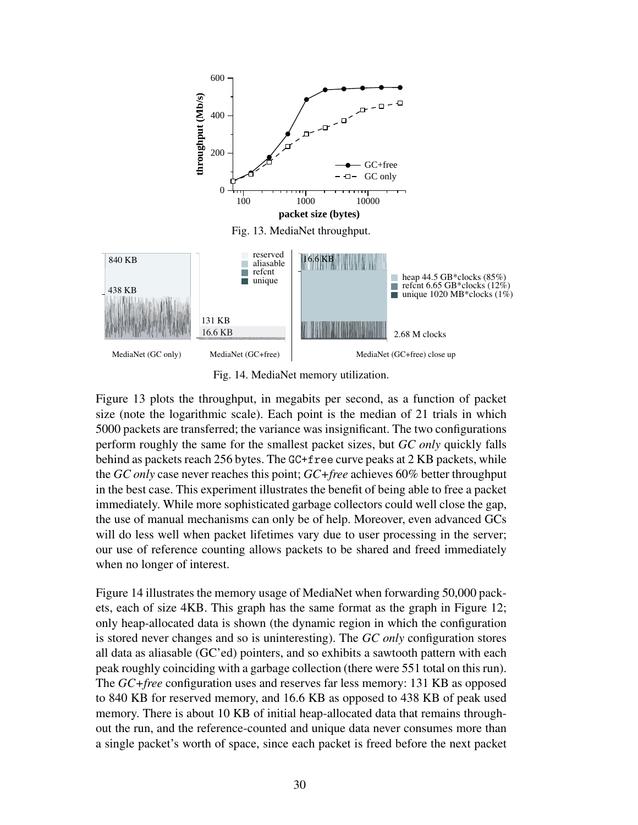

Fig. 14. MediaNet memory utilization.

Figure 13 plots the throughput, in megabits per second, as a function of packet size (note the logarithmic scale). Each point is the median of 21 trials in which 5000 packets are transferred; the variance was insignificant. The two configurations perform roughly the same for the smallest packet sizes, but *GC only* quickly falls behind as packets reach 256 bytes. The GC+free curve peaks at 2 KB packets, while the *GC only* case never reaches this point; *GC+free* achieves 60% better throughput in the best case. This experiment illustrates the benefit of being able to free a packet immediately. While more sophisticated garbage collectors could well close the gap, the use of manual mechanisms can only be of help. Moreover, even advanced GCs will do less well when packet lifetimes vary due to user processing in the server; our use of reference counting allows packets to be shared and freed immediately when no longer of interest.

Figure 14 illustrates the memory usage of MediaNet when forwarding 50,000 packets, each of size 4KB. This graph has the same format as the graph in Figure 12; only heap-allocated data is shown (the dynamic region in which the configuration is stored never changes and so is uninteresting). The *GC only* configuration stores all data as aliasable (GC'ed) pointers, and so exhibits a sawtooth pattern with each peak roughly coinciding with a garbage collection (there were 551 total on this run). The *GC+free* configuration uses and reserves far less memory: 131 KB as opposed to 840 KB for reserved memory, and 16.6 KB as opposed to 438 KB of peak used memory. There is about 10 KB of initial heap-allocated data that remains throughout the run, and the reference-counted and unique data never consumes more than a single packet's worth of space, since each packet is freed before the next packet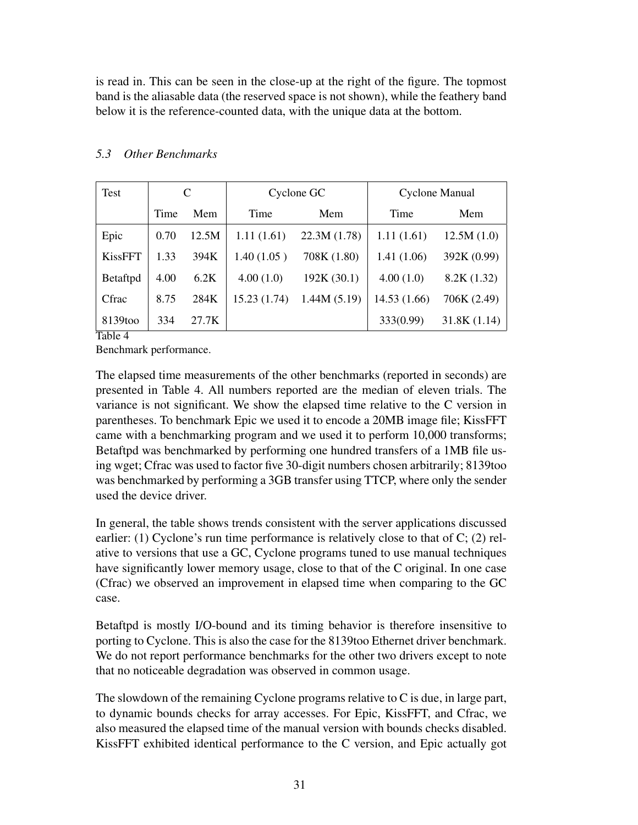is read in. This can be seen in the close-up at the right of the figure. The topmost band is the aliasable data (the reserved space is not shown), while the feathery band below it is the reference-counted data, with the unique data at the bottom.

| Test           | C    |       |             | Cyclone GC  | Cyclone Manual |             |
|----------------|------|-------|-------------|-------------|----------------|-------------|
|                | Time | Mem   | Time        | Mem         | Time           | Mem         |
| Epic           | 0.70 | 12.5M | 1.11(1.61)  | 22.3M(1.78) | 1.11(1.61)     | 12.5M(1.0)  |
| <b>KissFFT</b> | 1.33 | 394K  | 1.40(1.05)  | 708K (1.80) | 1.41(1.06)     | 392K (0.99) |
| Betaftpd       | 4.00 | 6.2K  | 4.00(1.0)   | 192K (30.1) | 4.00(1.0)      | 8.2K(1.32)  |
| Cfrac          | 8.75 | 284K  | 15.23(1.74) | 1.44M(5.19) | 14.53 (1.66)   | 706K (2.49) |
| 8139too<br>--- | 334  | 27.7K |             |             | 333(0.99)      | 31.8K(1.14) |

# *5.3 Other Benchmarks*

Table 4

Benchmark performance.

The elapsed time measurements of the other benchmarks (reported in seconds) are presented in Table 4. All numbers reported are the median of eleven trials. The variance is not significant. We show the elapsed time relative to the C version in parentheses. To benchmark Epic we used it to encode a 20MB image file; KissFFT came with a benchmarking program and we used it to perform 10,000 transforms; Betaftpd was benchmarked by performing one hundred transfers of a 1MB file using wget; Cfrac was used to factor five 30-digit numbers chosen arbitrarily; 8139too was benchmarked by performing a 3GB transfer using TTCP, where only the sender used the device driver.

In general, the table shows trends consistent with the server applications discussed earlier: (1) Cyclone's run time performance is relatively close to that of C; (2) relative to versions that use a GC, Cyclone programs tuned to use manual techniques have significantly lower memory usage, close to that of the C original. In one case (Cfrac) we observed an improvement in elapsed time when comparing to the GC case.

Betaftpd is mostly I/O-bound and its timing behavior is therefore insensitive to porting to Cyclone. This is also the case for the 8139too Ethernet driver benchmark. We do not report performance benchmarks for the other two drivers except to note that no noticeable degradation was observed in common usage.

The slowdown of the remaining Cyclone programs relative to C is due, in large part, to dynamic bounds checks for array accesses. For Epic, KissFFT, and Cfrac, we also measured the elapsed time of the manual version with bounds checks disabled. KissFFT exhibited identical performance to the C version, and Epic actually got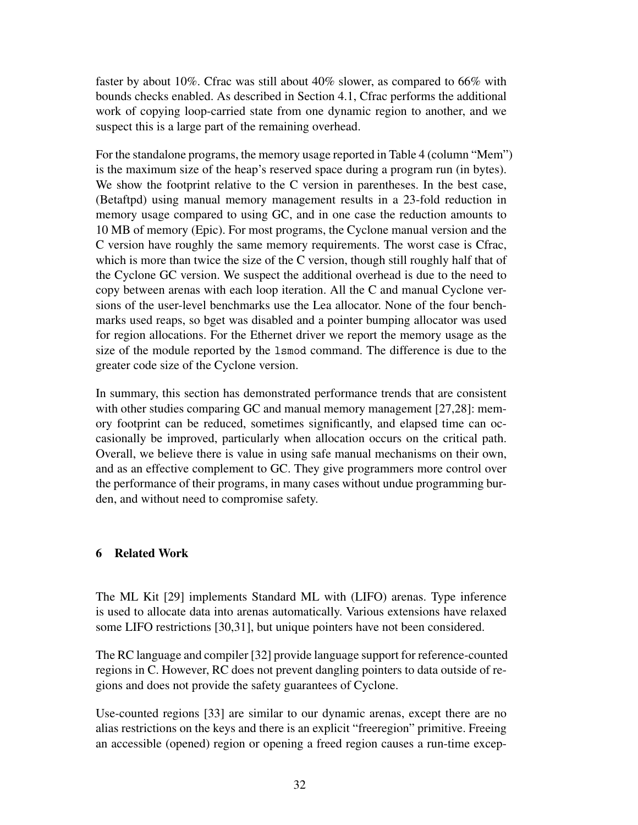faster by about 10%. Cfrac was still about 40% slower, as compared to 66% with bounds checks enabled. As described in Section 4.1, Cfrac performs the additional work of copying loop-carried state from one dynamic region to another, and we suspect this is a large part of the remaining overhead.

For the standalone programs, the memory usage reported in Table 4 (column "Mem") is the maximum size of the heap's reserved space during a program run (in bytes). We show the footprint relative to the C version in parentheses. In the best case, (Betaftpd) using manual memory management results in a 23-fold reduction in memory usage compared to using GC, and in one case the reduction amounts to 10 MB of memory (Epic). For most programs, the Cyclone manual version and the C version have roughly the same memory requirements. The worst case is Cfrac, which is more than twice the size of the C version, though still roughly half that of the Cyclone GC version. We suspect the additional overhead is due to the need to copy between arenas with each loop iteration. All the C and manual Cyclone versions of the user-level benchmarks use the Lea allocator. None of the four benchmarks used reaps, so bget was disabled and a pointer bumping allocator was used for region allocations. For the Ethernet driver we report the memory usage as the size of the module reported by the lsmod command. The difference is due to the greater code size of the Cyclone version.

In summary, this section has demonstrated performance trends that are consistent with other studies comparing GC and manual memory management [27,28]: memory footprint can be reduced, sometimes significantly, and elapsed time can occasionally be improved, particularly when allocation occurs on the critical path. Overall, we believe there is value in using safe manual mechanisms on their own, and as an effective complement to GC. They give programmers more control over the performance of their programs, in many cases without undue programming burden, and without need to compromise safety.

# 6 Related Work

The ML Kit [29] implements Standard ML with (LIFO) arenas. Type inference is used to allocate data into arenas automatically. Various extensions have relaxed some LIFO restrictions [30,31], but unique pointers have not been considered.

The RC language and compiler [32] provide language support for reference-counted regions in C. However, RC does not prevent dangling pointers to data outside of regions and does not provide the safety guarantees of Cyclone.

Use-counted regions [33] are similar to our dynamic arenas, except there are no alias restrictions on the keys and there is an explicit "freeregion" primitive. Freeing an accessible (opened) region or opening a freed region causes a run-time excep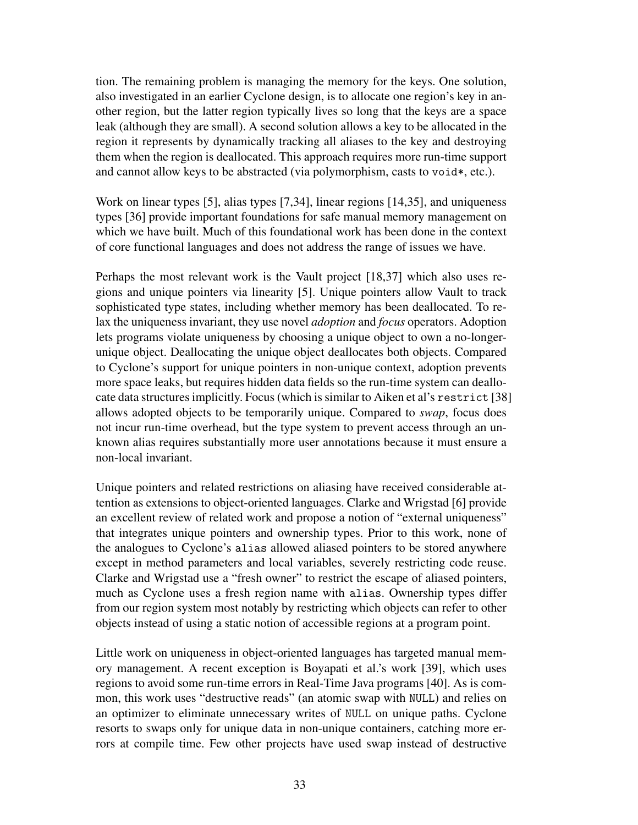tion. The remaining problem is managing the memory for the keys. One solution, also investigated in an earlier Cyclone design, is to allocate one region's key in another region, but the latter region typically lives so long that the keys are a space leak (although they are small). A second solution allows a key to be allocated in the region it represents by dynamically tracking all aliases to the key and destroying them when the region is deallocated. This approach requires more run-time support and cannot allow keys to be abstracted (via polymorphism, casts to void\*, etc.).

Work on linear types [5], alias types [7,34], linear regions [14,35], and uniqueness types [36] provide important foundations for safe manual memory management on which we have built. Much of this foundational work has been done in the context of core functional languages and does not address the range of issues we have.

Perhaps the most relevant work is the Vault project [18,37] which also uses regions and unique pointers via linearity [5]. Unique pointers allow Vault to track sophisticated type states, including whether memory has been deallocated. To relax the uniqueness invariant, they use novel *adoption* and *focus* operators. Adoption lets programs violate uniqueness by choosing a unique object to own a no-longerunique object. Deallocating the unique object deallocates both objects. Compared to Cyclone's support for unique pointers in non-unique context, adoption prevents more space leaks, but requires hidden data fields so the run-time system can deallocate data structures implicitly. Focus (which is similar to Aiken et al's restrict [38] allows adopted objects to be temporarily unique. Compared to *swap*, focus does not incur run-time overhead, but the type system to prevent access through an unknown alias requires substantially more user annotations because it must ensure a non-local invariant.

Unique pointers and related restrictions on aliasing have received considerable attention as extensions to object-oriented languages. Clarke and Wrigstad [6] provide an excellent review of related work and propose a notion of "external uniqueness" that integrates unique pointers and ownership types. Prior to this work, none of the analogues to Cyclone's alias allowed aliased pointers to be stored anywhere except in method parameters and local variables, severely restricting code reuse. Clarke and Wrigstad use a "fresh owner" to restrict the escape of aliased pointers, much as Cyclone uses a fresh region name with alias. Ownership types differ from our region system most notably by restricting which objects can refer to other objects instead of using a static notion of accessible regions at a program point.

Little work on uniqueness in object-oriented languages has targeted manual memory management. A recent exception is Boyapati et al.'s work [39], which uses regions to avoid some run-time errors in Real-Time Java programs [40]. As is common, this work uses "destructive reads" (an atomic swap with NULL) and relies on an optimizer to eliminate unnecessary writes of NULL on unique paths. Cyclone resorts to swaps only for unique data in non-unique containers, catching more errors at compile time. Few other projects have used swap instead of destructive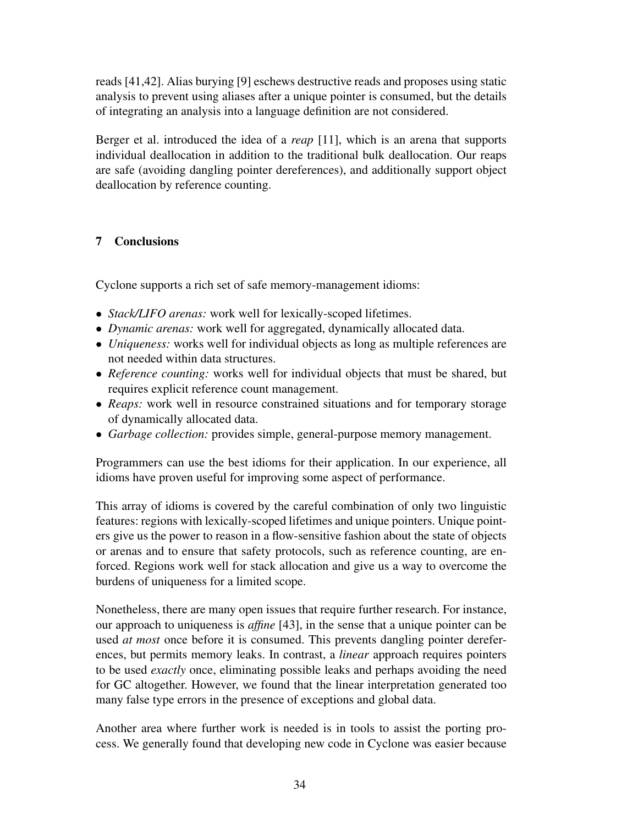reads [41,42]. Alias burying [9] eschews destructive reads and proposes using static analysis to prevent using aliases after a unique pointer is consumed, but the details of integrating an analysis into a language definition are not considered.

Berger et al. introduced the idea of a *reap* [11], which is an arena that supports individual deallocation in addition to the traditional bulk deallocation. Our reaps are safe (avoiding dangling pointer dereferences), and additionally support object deallocation by reference counting.

# 7 Conclusions

Cyclone supports a rich set of safe memory-management idioms:

- *Stack/LIFO arenas:* work well for lexically-scoped lifetimes.
- *Dynamic arenas:* work well for aggregated, dynamically allocated data.
- *Uniqueness:* works well for individual objects as long as multiple references are not needed within data structures.
- *Reference counting:* works well for individual objects that must be shared, but requires explicit reference count management.
- *Reaps:* work well in resource constrained situations and for temporary storage of dynamically allocated data.
- *Garbage collection:* provides simple, general-purpose memory management.

Programmers can use the best idioms for their application. In our experience, all idioms have proven useful for improving some aspect of performance.

This array of idioms is covered by the careful combination of only two linguistic features: regions with lexically-scoped lifetimes and unique pointers. Unique pointers give us the power to reason in a flow-sensitive fashion about the state of objects or arenas and to ensure that safety protocols, such as reference counting, are enforced. Regions work well for stack allocation and give us a way to overcome the burdens of uniqueness for a limited scope.

Nonetheless, there are many open issues that require further research. For instance, our approach to uniqueness is *affine* [43], in the sense that a unique pointer can be used *at most* once before it is consumed. This prevents dangling pointer dereferences, but permits memory leaks. In contrast, a *linear* approach requires pointers to be used *exactly* once, eliminating possible leaks and perhaps avoiding the need for GC altogether. However, we found that the linear interpretation generated too many false type errors in the presence of exceptions and global data.

Another area where further work is needed is in tools to assist the porting process. We generally found that developing new code in Cyclone was easier because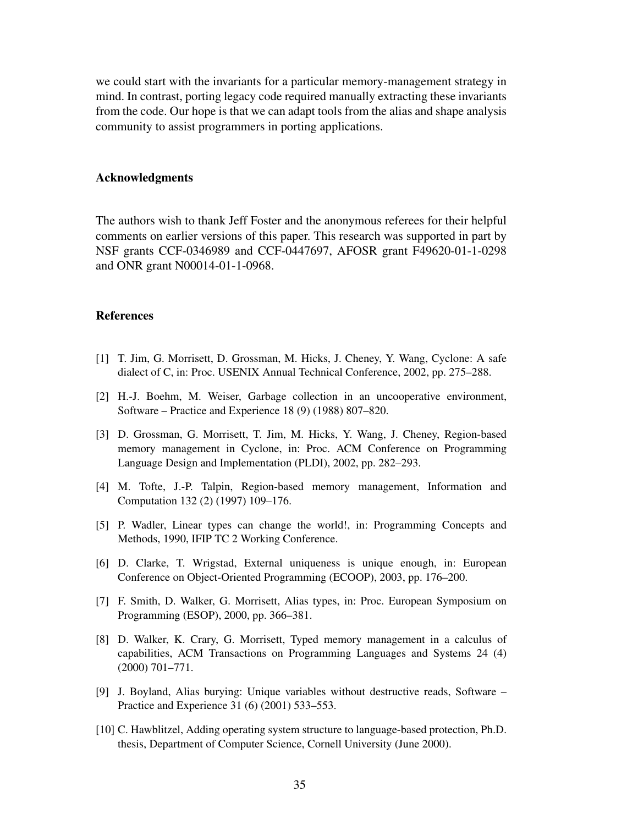we could start with the invariants for a particular memory-management strategy in mind. In contrast, porting legacy code required manually extracting these invariants from the code. Our hope is that we can adapt tools from the alias and shape analysis community to assist programmers in porting applications.

#### Acknowledgments

The authors wish to thank Jeff Foster and the anonymous referees for their helpful comments on earlier versions of this paper. This research was supported in part by NSF grants CCF-0346989 and CCF-0447697, AFOSR grant F49620-01-1-0298 and ONR grant N00014-01-1-0968.

#### References

- [1] T. Jim, G. Morrisett, D. Grossman, M. Hicks, J. Cheney, Y. Wang, Cyclone: A safe dialect of C, in: Proc. USENIX Annual Technical Conference, 2002, pp. 275–288.
- [2] H.-J. Boehm, M. Weiser, Garbage collection in an uncooperative environment, Software – Practice and Experience 18 (9) (1988) 807–820.
- [3] D. Grossman, G. Morrisett, T. Jim, M. Hicks, Y. Wang, J. Cheney, Region-based memory management in Cyclone, in: Proc. ACM Conference on Programming Language Design and Implementation (PLDI), 2002, pp. 282–293.
- [4] M. Tofte, J.-P. Talpin, Region-based memory management, Information and Computation 132 (2) (1997) 109–176.
- [5] P. Wadler, Linear types can change the world!, in: Programming Concepts and Methods, 1990, IFIP TC 2 Working Conference.
- [6] D. Clarke, T. Wrigstad, External uniqueness is unique enough, in: European Conference on Object-Oriented Programming (ECOOP), 2003, pp. 176–200.
- [7] F. Smith, D. Walker, G. Morrisett, Alias types, in: Proc. European Symposium on Programming (ESOP), 2000, pp. 366–381.
- [8] D. Walker, K. Crary, G. Morrisett, Typed memory management in a calculus of capabilities, ACM Transactions on Programming Languages and Systems 24 (4) (2000) 701–771.
- [9] J. Boyland, Alias burying: Unique variables without destructive reads, Software Practice and Experience 31 (6) (2001) 533–553.
- [10] C. Hawblitzel, Adding operating system structure to language-based protection, Ph.D. thesis, Department of Computer Science, Cornell University (June 2000).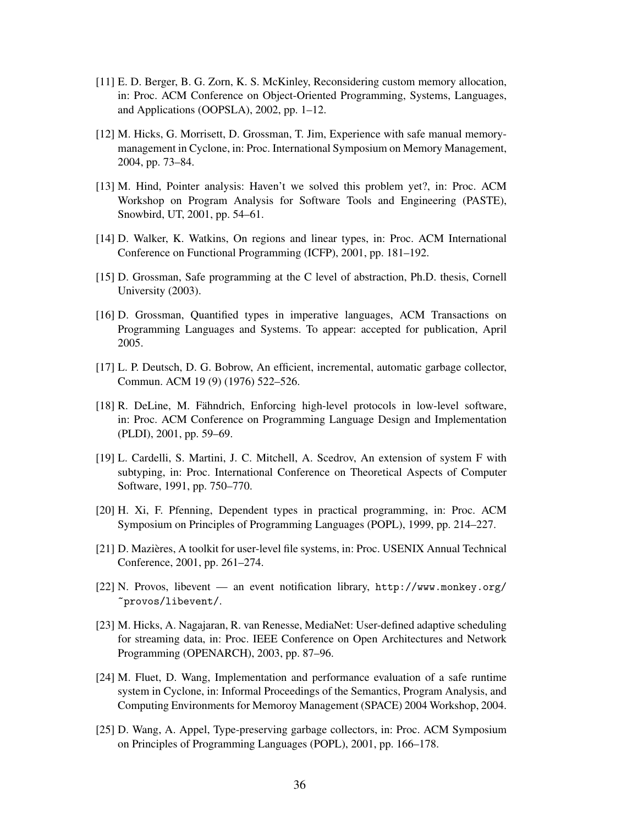- [11] E. D. Berger, B. G. Zorn, K. S. McKinley, Reconsidering custom memory allocation, in: Proc. ACM Conference on Object-Oriented Programming, Systems, Languages, and Applications (OOPSLA), 2002, pp. 1–12.
- [12] M. Hicks, G. Morrisett, D. Grossman, T. Jim, Experience with safe manual memorymanagement in Cyclone, in: Proc. International Symposium on Memory Management, 2004, pp. 73–84.
- [13] M. Hind, Pointer analysis: Haven't we solved this problem yet?, in: Proc. ACM Workshop on Program Analysis for Software Tools and Engineering (PASTE), Snowbird, UT, 2001, pp. 54–61.
- [14] D. Walker, K. Watkins, On regions and linear types, in: Proc. ACM International Conference on Functional Programming (ICFP), 2001, pp. 181–192.
- [15] D. Grossman, Safe programming at the C level of abstraction, Ph.D. thesis, Cornell University (2003).
- [16] D. Grossman, Quantified types in imperative languages, ACM Transactions on Programming Languages and Systems. To appear: accepted for publication, April 2005.
- [17] L. P. Deutsch, D. G. Bobrow, An efficient, incremental, automatic garbage collector, Commun. ACM 19 (9) (1976) 522–526.
- [18] R. DeLine, M. Fähndrich, Enforcing high-level protocols in low-level software, in: Proc. ACM Conference on Programming Language Design and Implementation (PLDI), 2001, pp. 59–69.
- [19] L. Cardelli, S. Martini, J. C. Mitchell, A. Scedrov, An extension of system F with subtyping, in: Proc. International Conference on Theoretical Aspects of Computer Software, 1991, pp. 750–770.
- [20] H. Xi, F. Pfenning, Dependent types in practical programming, in: Proc. ACM Symposium on Principles of Programming Languages (POPL), 1999, pp. 214–227.
- [21] D. Mazieres, A toolkit for user-level file systems, in: Proc. USENIX Annual Technical ` Conference, 2001, pp. 261–274.
- [22] N. Provos, libevent an event notification library, http://www.monkey.org/ ~provos/libevent/.
- [23] M. Hicks, A. Nagajaran, R. van Renesse, MediaNet: User-defined adaptive scheduling for streaming data, in: Proc. IEEE Conference on Open Architectures and Network Programming (OPENARCH), 2003, pp. 87–96.
- [24] M. Fluet, D. Wang, Implementation and performance evaluation of a safe runtime system in Cyclone, in: Informal Proceedings of the Semantics, Program Analysis, and Computing Environments for Memoroy Management (SPACE) 2004 Workshop, 2004.
- [25] D. Wang, A. Appel, Type-preserving garbage collectors, in: Proc. ACM Symposium on Principles of Programming Languages (POPL), 2001, pp. 166–178.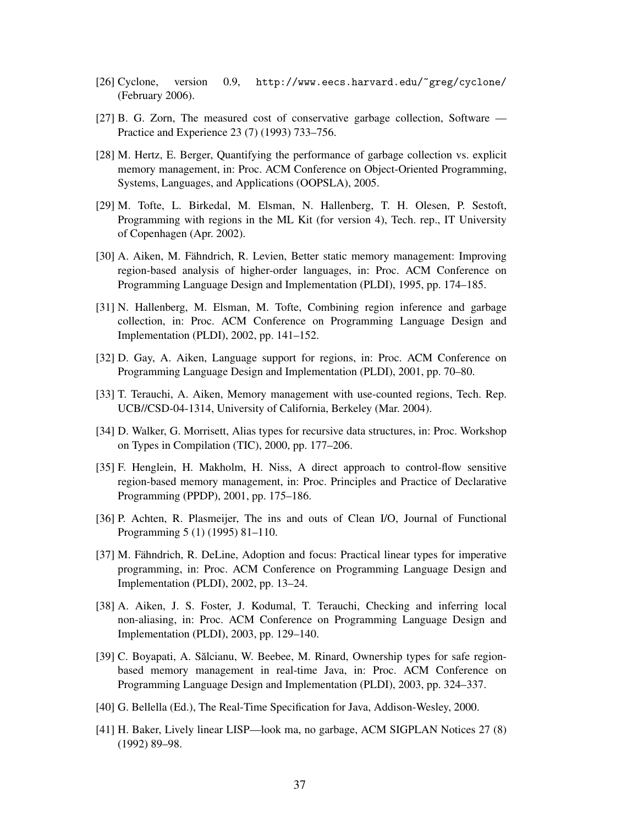- [26] Cyclone, version 0.9, http://www.eecs.harvard.edu/~greg/cyclone/ (February 2006).
- [27] B. G. Zorn, The measured cost of conservative garbage collection, Software Practice and Experience 23 (7) (1993) 733–756.
- [28] M. Hertz, E. Berger, Quantifying the performance of garbage collection vs. explicit memory management, in: Proc. ACM Conference on Object-Oriented Programming, Systems, Languages, and Applications (OOPSLA), 2005.
- [29] M. Tofte, L. Birkedal, M. Elsman, N. Hallenberg, T. H. Olesen, P. Sestoft, Programming with regions in the ML Kit (for version 4), Tech. rep., IT University of Copenhagen (Apr. 2002).
- [30] A. Aiken, M. Fähndrich, R. Levien, Better static memory management: Improving region-based analysis of higher-order languages, in: Proc. ACM Conference on Programming Language Design and Implementation (PLDI), 1995, pp. 174–185.
- [31] N. Hallenberg, M. Elsman, M. Tofte, Combining region inference and garbage collection, in: Proc. ACM Conference on Programming Language Design and Implementation (PLDI), 2002, pp. 141–152.
- [32] D. Gay, A. Aiken, Language support for regions, in: Proc. ACM Conference on Programming Language Design and Implementation (PLDI), 2001, pp. 70–80.
- [33] T. Terauchi, A. Aiken, Memory management with use-counted regions, Tech. Rep. UCB//CSD-04-1314, University of California, Berkeley (Mar. 2004).
- [34] D. Walker, G. Morrisett, Alias types for recursive data structures, in: Proc. Workshop on Types in Compilation (TIC), 2000, pp. 177–206.
- [35] F. Henglein, H. Makholm, H. Niss, A direct approach to control-flow sensitive region-based memory management, in: Proc. Principles and Practice of Declarative Programming (PPDP), 2001, pp. 175–186.
- [36] P. Achten, R. Plasmeijer, The ins and outs of Clean I/O, Journal of Functional Programming 5 (1) (1995) 81–110.
- [37] M. Fähndrich, R. DeLine, Adoption and focus: Practical linear types for imperative programming, in: Proc. ACM Conference on Programming Language Design and Implementation (PLDI), 2002, pp. 13–24.
- [38] A. Aiken, J. S. Foster, J. Kodumal, T. Terauchi, Checking and inferring local non-aliasing, in: Proc. ACM Conference on Programming Language Design and Implementation (PLDI), 2003, pp. 129–140.
- [39] C. Boyapati, A. Sălcianu, W. Beebee, M. Rinard, Ownership types for safe regionbased memory management in real-time Java, in: Proc. ACM Conference on Programming Language Design and Implementation (PLDI), 2003, pp. 324–337.
- [40] G. Bellella (Ed.), The Real-Time Specification for Java, Addison-Wesley, 2000.
- [41] H. Baker, Lively linear LISP—look ma, no garbage, ACM SIGPLAN Notices 27 (8) (1992) 89–98.